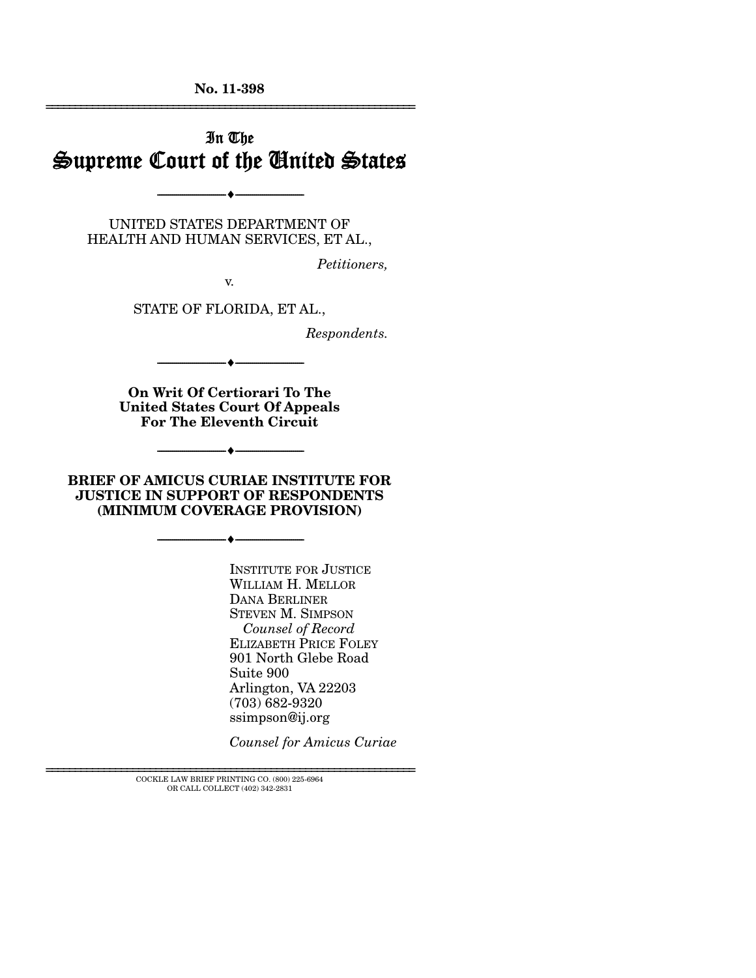**No. 11-398**  ================================================================

# In The Supreme Court of the United States

UNITED STATES DEPARTMENT OF HEALTH AND HUMAN SERVICES, ET AL.,

--------------------------------- ♦ ---------------------------------

*Petitioners,* 

v.

STATE OF FLORIDA, ET AL.,

*Respondents.* 

**On Writ Of Certiorari To The United States Court Of Appeals For The Eleventh Circuit** 

--------------------------------- ♦ ---------------------------------

**BRIEF OF AMICUS CURIAE INSTITUTE FOR JUSTICE IN SUPPORT OF RESPONDENTS (MINIMUM COVERAGE PROVISION)** 

--------------------------------- ♦ ---------------------------------

--------------------------------- ♦ ---------------------------------

INSTITUTE FOR JUSTICE WILLIAM H. MELLOR DANA BERLINER STEVEN M. SIMPSON *Counsel of Record* ELIZABETH PRICE FOLEY 901 North Glebe Road Suite 900 Arlington, VA 22203 (703) 682-9320 ssimpson@ij.org

*Counsel for Amicus Curiae* 

 $\rm COCKLE$  LAW BRIEF PRINTING CO.  $(800)$  225-6964 OR CALL COLLECT (402) 342-2831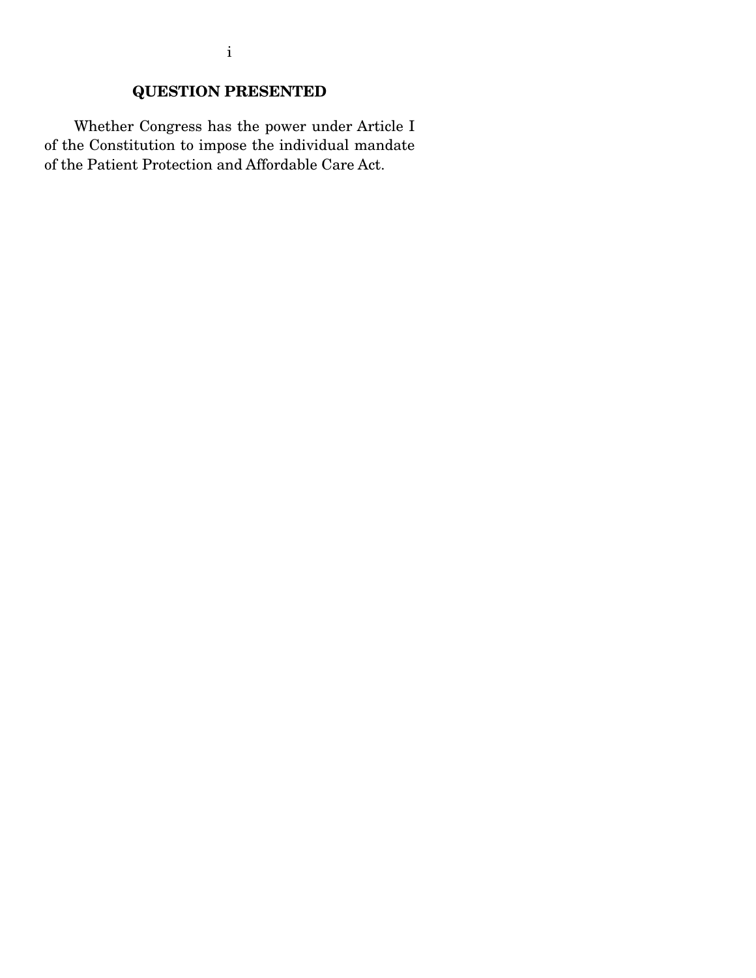## **QUESTION PRESENTED**

 Whether Congress has the power under Article I of the Constitution to impose the individual mandate of the Patient Protection and Affordable Care Act.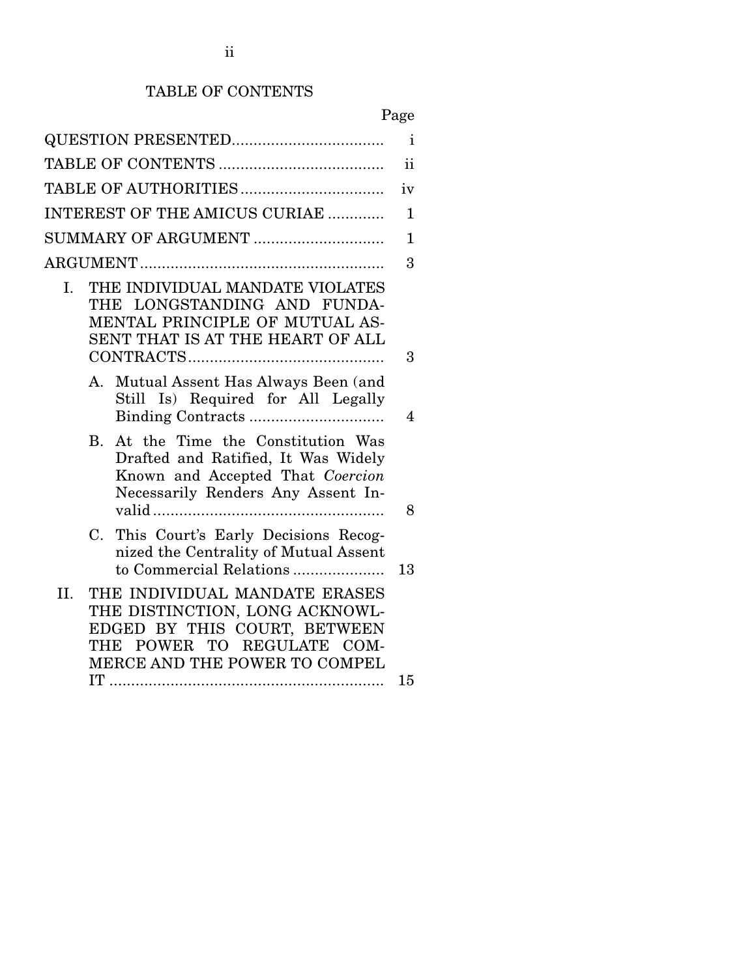## TABLE OF CONTENTS

|--|

| i                                                                                                                                                                        |    |  |  |  |  |
|--------------------------------------------------------------------------------------------------------------------------------------------------------------------------|----|--|--|--|--|
| $\mathbf{ii}$                                                                                                                                                            |    |  |  |  |  |
|                                                                                                                                                                          | iv |  |  |  |  |
| INTEREST OF THE AMICUS CURIAE                                                                                                                                            |    |  |  |  |  |
| SUMMARY OF ARGUMENT                                                                                                                                                      |    |  |  |  |  |
|                                                                                                                                                                          | 3  |  |  |  |  |
| THE INDIVIDUAL MANDATE VIOLATES<br>I.<br>THE LONGSTANDING AND FUNDA-<br>MENTAL PRINCIPLE OF MUTUAL AS-<br>SENT THAT IS AT THE HEART OF ALL                               | 3  |  |  |  |  |
| Mutual Assent Has Always Been (and<br>А.<br>Still Is) Required for All Legally                                                                                           | 4  |  |  |  |  |
| At the Time the Constitution Was<br>$B_{\cdot}$<br>Drafted and Ratified, It Was Widely<br>Known and Accepted That Coercion<br>Necessarily Renders Any Assent In-         | 8  |  |  |  |  |
| This Court's Early Decisions Recog-<br>$C_{\cdot}$<br>nized the Centrality of Mutual Assent<br>to Commercial Relations                                                   | 13 |  |  |  |  |
| THE INDIVIDUAL MANDATE ERASES<br>II.<br>THE DISTINCTION, LONG ACKNOWL-<br>EDGED BY THIS COURT, BETWEEN<br>POWER TO REGULATE COM-<br>THE<br>MERCE AND THE POWER TO COMPEL | 15 |  |  |  |  |
|                                                                                                                                                                          |    |  |  |  |  |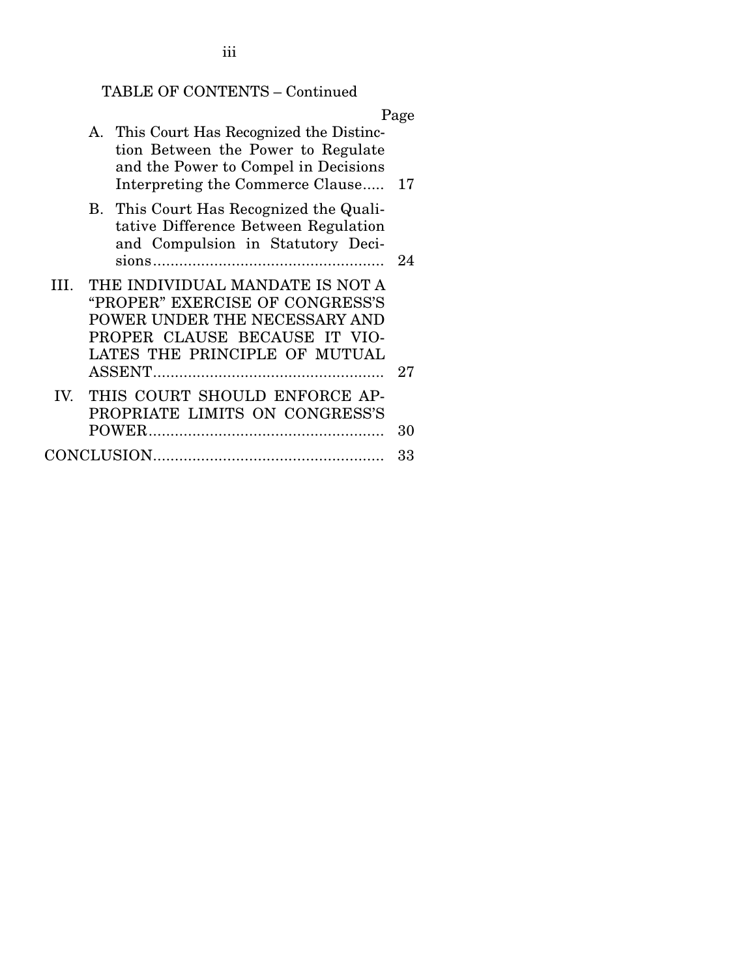TABLE OF CONTENTS – Continued

|     |                                                                                                                                                                       | Page |
|-----|-----------------------------------------------------------------------------------------------------------------------------------------------------------------------|------|
|     | A. This Court Has Recognized the Distinc-<br>tion Between the Power to Regulate<br>and the Power to Compel in Decisions<br>Interpreting the Commerce Clause           | 17   |
|     | B. This Court Has Recognized the Quali-<br>tative Difference Between Regulation<br>and Compulsion in Statutory Deci-                                                  | 9.4  |
| Ш   | THE INDIVIDUAL MANDATE IS NOT A<br>"PROPER" EXERCISE OF CONGRESS'S<br>POWER UNDER THE NECESSARY AND<br>PROPER CLAUSE BECAUSE IT VIO-<br>LATES THE PRINCIPLE OF MUTUAL | 27   |
| IV. | THIS COURT SHOULD ENFORCE AP-<br>PROPRIATE LIMITS ON CONGRESS'S                                                                                                       | 30   |
|     |                                                                                                                                                                       | 33   |

iii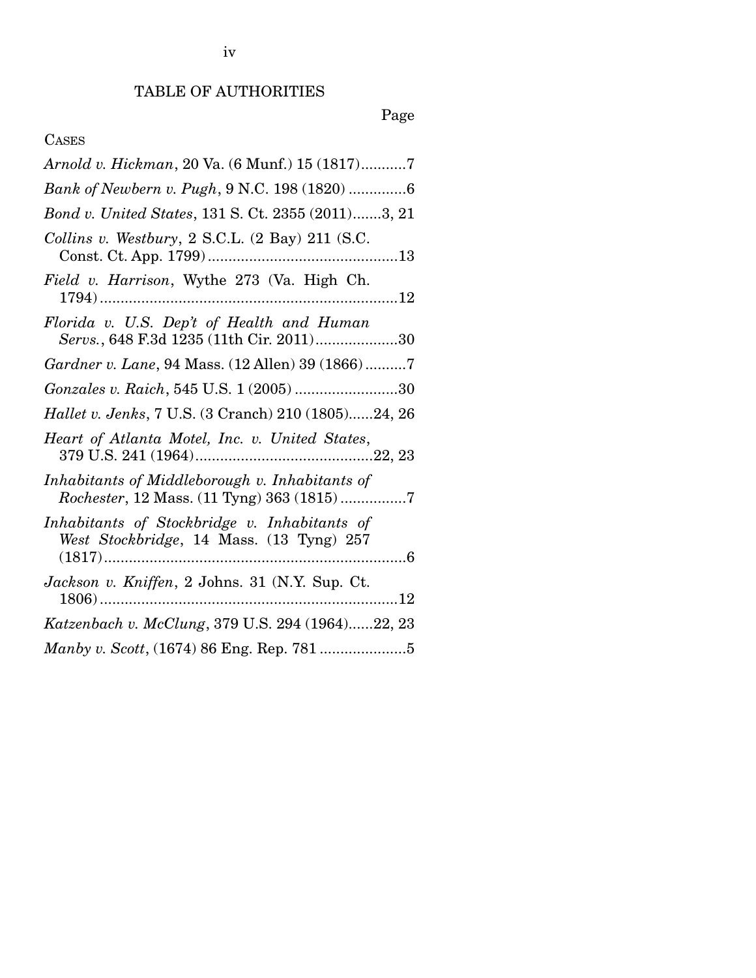# Page

## CASES

| Arnold v. Hickman, 20 Va. (6 Munf.) 15 (1817)7                                              |
|---------------------------------------------------------------------------------------------|
| Bank of Newbern v. Pugh, 9 N.C. 198 (1820) 6                                                |
| Bond v. United States, 131 S. Ct. 2355 (2011)3, 21                                          |
| Collins v. Westbury, 2 S.C.L. (2 Bay) 211 (S.C.                                             |
| Field v. Harrison, Wythe 273 (Va. High Ch.                                                  |
| Florida v. U.S. Dep't of Health and Human<br>Servs., 648 F.3d 1235 (11th Cir. 2011)30       |
| Gardner v. Lane, 94 Mass. (12 Allen) 39 (1866)7                                             |
| Gonzales v. Raich, 545 U.S. 1 (2005) 30                                                     |
| Hallet v. Jenks, 7 U.S. (3 Cranch) 210 (1805)24, 26                                         |
| Heart of Atlanta Motel, Inc. v. United States,                                              |
| Inhabitants of Middleborough v. Inhabitants of<br>Rochester, 12 Mass. (11 Tyng) 363 (1815)7 |
| Inhabitants of Stockbridge v. Inhabitants of<br>West Stockbridge, 14 Mass. (13 Tyng) 257    |
| Jackson v. Kniffen, 2 Johns. 31 (N.Y. Sup. Ct.                                              |
| Katzenbach v. McClung, 379 U.S. 294 (1964)22, 23                                            |
|                                                                                             |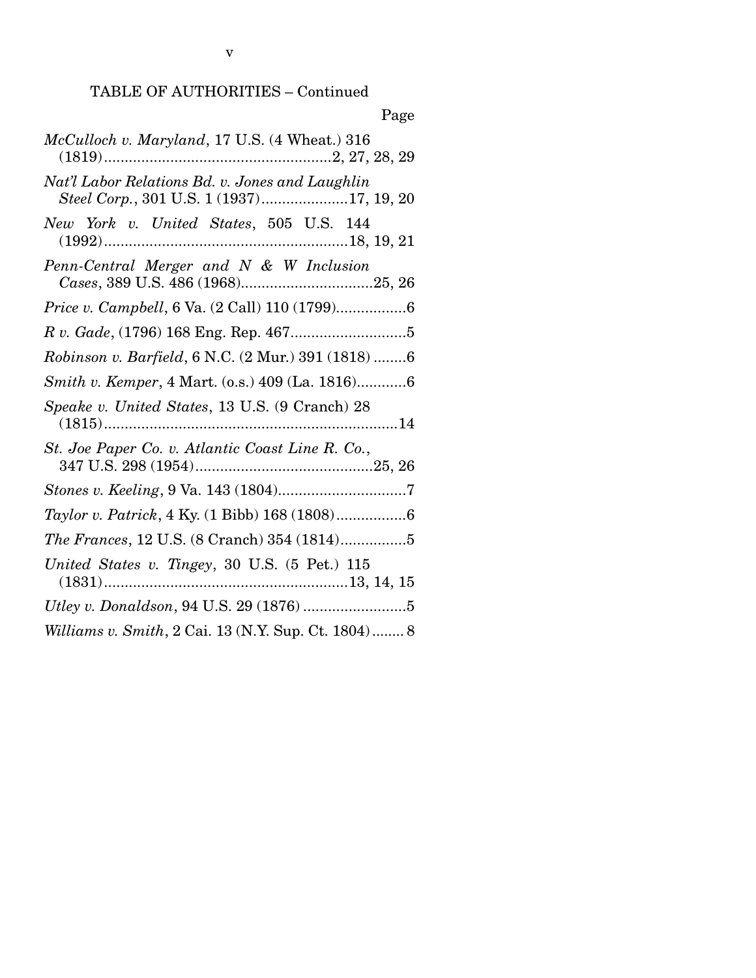## TABLE OF AUTHORITIES – Continued

| Page                                                                                        |
|---------------------------------------------------------------------------------------------|
| McCulloch v. Maryland, 17 U.S. (4 Wheat.) 316                                               |
| Nat'l Labor Relations Bd. v. Jones and Laughlin<br>Steel Corp., 301 U.S. 1 (1937)17, 19, 20 |
| New York v. United States, 505 U.S. 144                                                     |
| Penn-Central Merger and N & W Inclusion                                                     |
|                                                                                             |
|                                                                                             |
| Robinson v. Barfield, 6 N.C. (2 Mur.) 391 (1818) 6                                          |
| Smith v. Kemper, 4 Mart. (o.s.) 409 (La. 1816)6                                             |
| Speake v. United States, 13 U.S. (9 Cranch) 28                                              |
| St. Joe Paper Co. v. Atlantic Coast Line R. Co.,                                            |
|                                                                                             |
|                                                                                             |
| The Frances, 12 U.S. (8 Cranch) 354 (1814)5                                                 |
| United States v. Tingey, 30 U.S. (5 Pet.) 115                                               |
|                                                                                             |
| Williams v. Smith, 2 Cai. 13 (N.Y. Sup. Ct. 1804) 8                                         |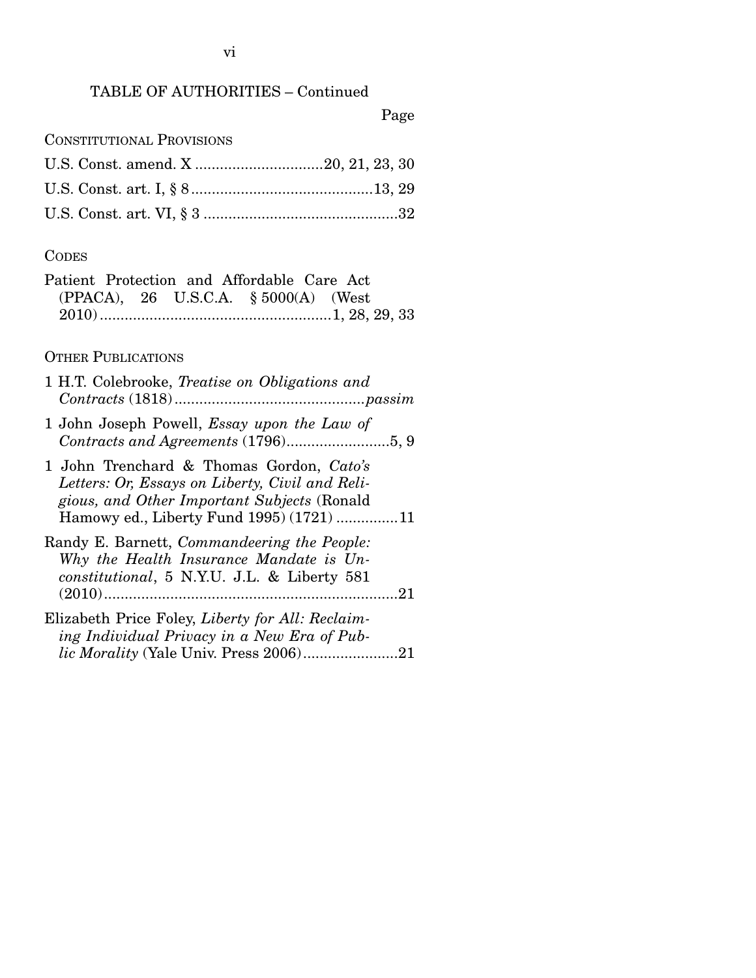### TABLE OF AUTHORITIES – Continued

Page

CONSTITUTIONAL PROVISIONS

#### **CODES**

| Patient Protection and Affordable Care Act |  |                                         |  |  |  |
|--------------------------------------------|--|-----------------------------------------|--|--|--|
|                                            |  | $(PPACA)$ , 26 U.S.C.A. § 5000(A) (West |  |  |  |
|                                            |  |                                         |  |  |  |

#### OTHER PUBLICATIONS

|  |  | 1 H.T. Colebrooke, Treatise on Obligations and |  |
|--|--|------------------------------------------------|--|
|  |  |                                                |  |

- 1 John Joseph Powell, *Essay upon the Law of Contracts and Agreements* (1796) ......................... 5, 9
- 1 John Trenchard & Thomas Gordon, *Cato's Letters: Or, Essays on Liberty, Civil and Religious, and Other Important Subjects* (Ronald Hamowy ed., Liberty Fund 1995) (1721) ............... 11

Randy E. Barnett, *Commandeering the People: Why the Health Insurance Mandate is Unconstitutional*, 5 N.Y.U. J.L. & Liberty 581 (2010) ....................................................................... 21

Elizabeth Price Foley, *Liberty for All: Reclaiming Individual Privacy in a New Era of Public Morality* (Yale Univ. Press 2006) ....................... 21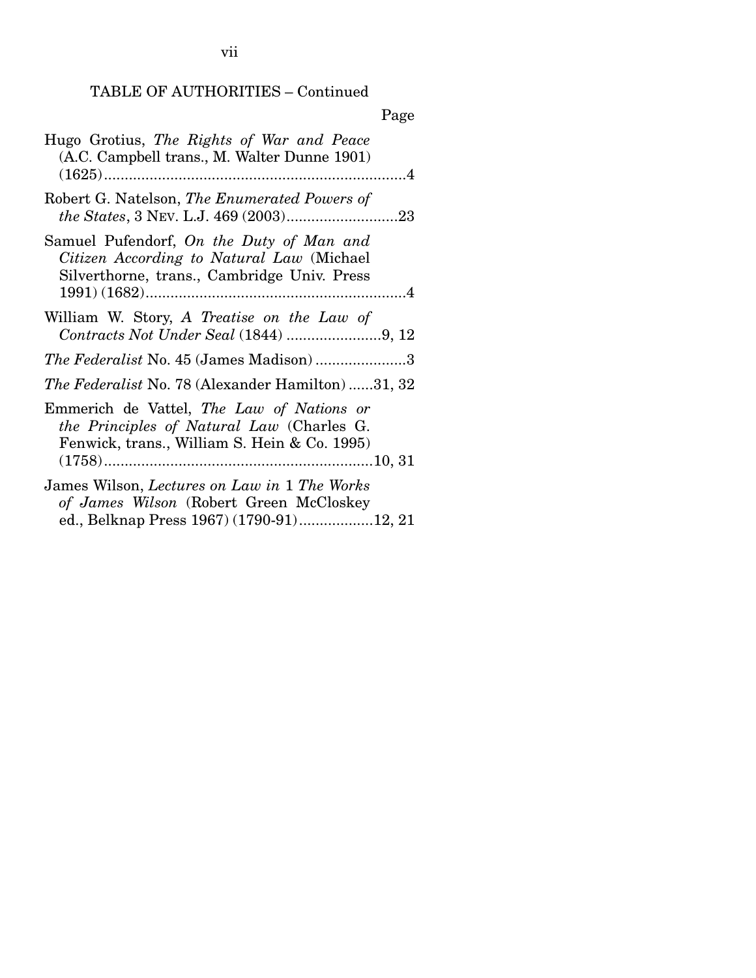TABLE OF AUTHORITIES – Continued

| Page                                                                                                                                          |
|-----------------------------------------------------------------------------------------------------------------------------------------------|
| Hugo Grotius, The Rights of War and Peace<br>(A.C. Campbell trans., M. Walter Dunne 1901)                                                     |
| Robert G. Natelson, The Enumerated Powers of                                                                                                  |
| Samuel Pufendorf, On the Duty of Man and<br>Citizen According to Natural Law (Michael<br>Silverthorne, trans., Cambridge Univ. Press          |
| William W. Story, A Treatise on the Law of<br>Contracts Not Under Seal (1844) 9, 12                                                           |
| <i>The Federalist</i> No. 45 (James Madison)3                                                                                                 |
| The Federalist No. 78 (Alexander Hamilton) 31, 32                                                                                             |
| Emmerich de Vattel, The Law of Nations or<br><i>the Principles of Natural Law</i> (Charles G.<br>Fenwick, trans., William S. Hein & Co. 1995) |
| James Wilson, Lectures on Law in 1 The Works<br>of James Wilson (Robert Green McCloskey<br>ed., Belknap Press 1967) (1790-91)12, 21           |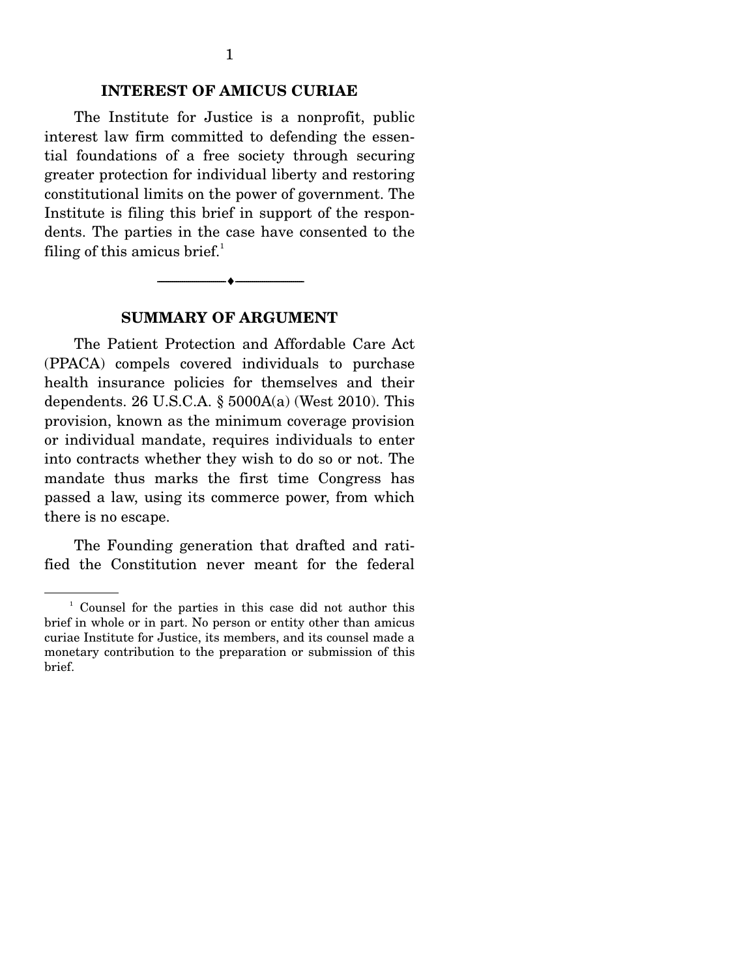The Institute for Justice is a nonprofit, public interest law firm committed to defending the essential foundations of a free society through securing greater protection for individual liberty and restoring constitutional limits on the power of government. The Institute is filing this brief in support of the respondents. The parties in the case have consented to the filing of this amicus brief. $\frac{1}{1}$ 



#### **SUMMARY OF ARGUMENT**

 The Patient Protection and Affordable Care Act (PPACA) compels covered individuals to purchase health insurance policies for themselves and their dependents. 26 U.S.C.A.  $\S$  5000A(a) (West 2010). This provision, known as the minimum coverage provision or individual mandate, requires individuals to enter into contracts whether they wish to do so or not. The mandate thus marks the first time Congress has passed a law, using its commerce power, from which there is no escape.

 The Founding generation that drafted and ratified the Constitution never meant for the federal

<sup>1</sup> Counsel for the parties in this case did not author this brief in whole or in part. No person or entity other than amicus curiae Institute for Justice, its members, and its counsel made a monetary contribution to the preparation or submission of this brief.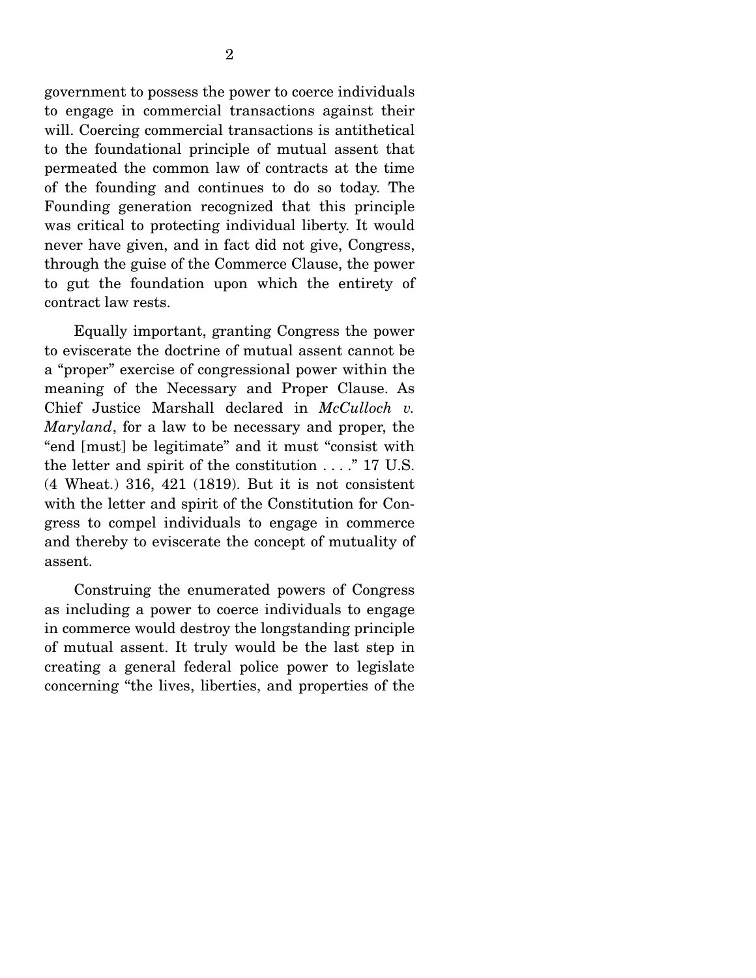government to possess the power to coerce individuals to engage in commercial transactions against their will. Coercing commercial transactions is antithetical to the foundational principle of mutual assent that permeated the common law of contracts at the time of the founding and continues to do so today. The Founding generation recognized that this principle was critical to protecting individual liberty. It would never have given, and in fact did not give, Congress, through the guise of the Commerce Clause, the power to gut the foundation upon which the entirety of contract law rests.

 Equally important, granting Congress the power to eviscerate the doctrine of mutual assent cannot be a "proper" exercise of congressional power within the meaning of the Necessary and Proper Clause. As Chief Justice Marshall declared in *McCulloch v. Maryland*, for a law to be necessary and proper, the "end [must] be legitimate" and it must "consist with the letter and spirit of the constitution . . . ." 17 U.S. (4 Wheat.) 316, 421 (1819). But it is not consistent with the letter and spirit of the Constitution for Congress to compel individuals to engage in commerce and thereby to eviscerate the concept of mutuality of assent.

 Construing the enumerated powers of Congress as including a power to coerce individuals to engage in commerce would destroy the longstanding principle of mutual assent. It truly would be the last step in creating a general federal police power to legislate concerning "the lives, liberties, and properties of the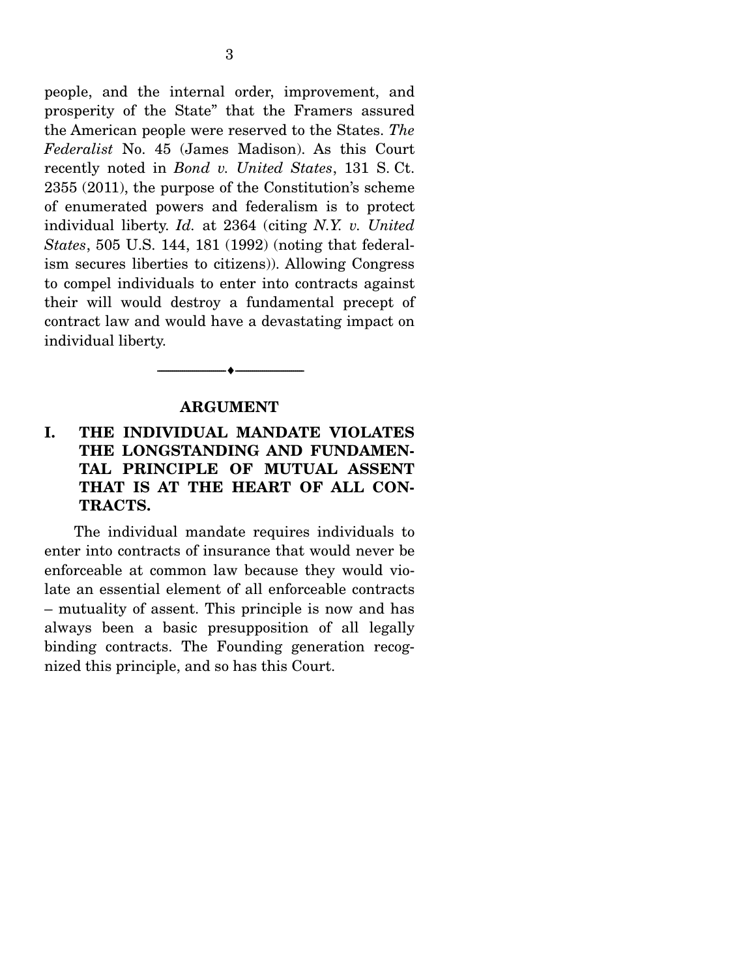people, and the internal order, improvement, and prosperity of the State" that the Framers assured the American people were reserved to the States. *The Federalist* No. 45 (James Madison). As this Court recently noted in *Bond v. United States*, 131 S. Ct. 2355 (2011), the purpose of the Constitution's scheme of enumerated powers and federalism is to protect individual liberty. *Id.* at 2364 (citing *N.Y. v. United States*, 505 U.S. 144, 181 (1992) (noting that federalism secures liberties to citizens)). Allowing Congress to compel individuals to enter into contracts against their will would destroy a fundamental precept of contract law and would have a devastating impact on individual liberty.

#### **ARGUMENT**

 $\overbrace{\hspace{2.5cm}}$   $\overbrace{\hspace{2.5cm}}$   $\overbrace{\hspace{2.5cm}}$ 

## **I. THE INDIVIDUAL MANDATE VIOLATES THE LONGSTANDING AND FUNDAMEN-TAL PRINCIPLE OF MUTUAL ASSENT THAT IS AT THE HEART OF ALL CON-TRACTS.**

 The individual mandate requires individuals to enter into contracts of insurance that would never be enforceable at common law because they would violate an essential element of all enforceable contracts – mutuality of assent. This principle is now and has always been a basic presupposition of all legally binding contracts. The Founding generation recognized this principle, and so has this Court.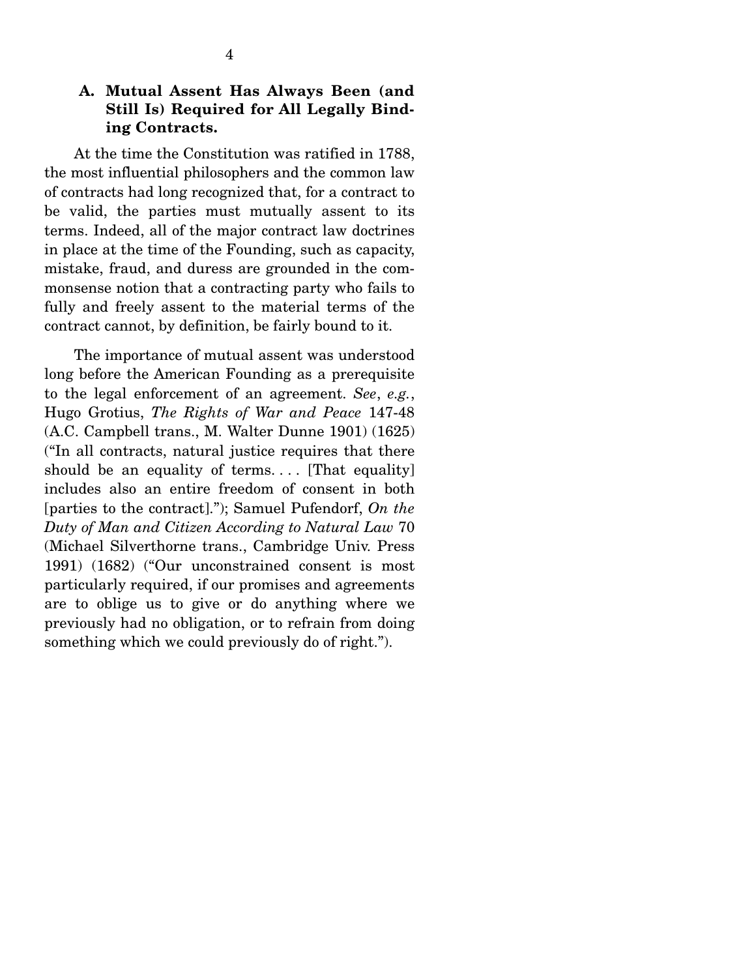At the time the Constitution was ratified in 1788, the most influential philosophers and the common law of contracts had long recognized that, for a contract to be valid, the parties must mutually assent to its terms. Indeed, all of the major contract law doctrines in place at the time of the Founding, such as capacity, mistake, fraud, and duress are grounded in the commonsense notion that a contracting party who fails to fully and freely assent to the material terms of the contract cannot, by definition, be fairly bound to it.

 The importance of mutual assent was understood long before the American Founding as a prerequisite to the legal enforcement of an agreement. *See*, *e.g.*, Hugo Grotius, *The Rights of War and Peace* 147-48 (A.C. Campbell trans., M. Walter Dunne 1901) (1625) ("In all contracts, natural justice requires that there should be an equality of terms.... [That equality] includes also an entire freedom of consent in both [parties to the contract]."); Samuel Pufendorf, *On the Duty of Man and Citizen According to Natural Law* 70 (Michael Silverthorne trans., Cambridge Univ. Press 1991) (1682) ("Our unconstrained consent is most particularly required, if our promises and agreements are to oblige us to give or do anything where we previously had no obligation, or to refrain from doing something which we could previously do of right.").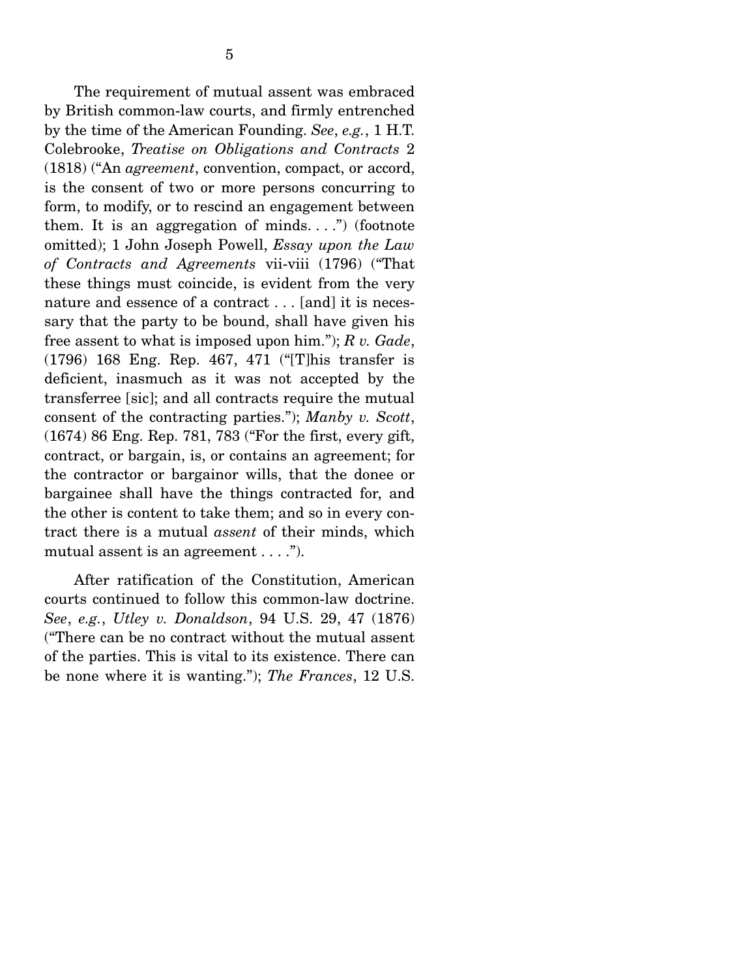The requirement of mutual assent was embraced by British common-law courts, and firmly entrenched by the time of the American Founding. *See*, *e.g.*, 1 H.T. Colebrooke, *Treatise on Obligations and Contracts* 2 (1818) ("An *agreement*, convention, compact, or accord, is the consent of two or more persons concurring to form, to modify, or to rescind an engagement between them. It is an aggregation of minds....") (footnote omitted); 1 John Joseph Powell, *Essay upon the Law of Contracts and Agreements* vii-viii (1796) ("That these things must coincide, is evident from the very nature and essence of a contract . . . [and] it is necessary that the party to be bound, shall have given his free assent to what is imposed upon him."); *R v. Gade*, (1796) 168 Eng. Rep. 467, 471 ("[T]his transfer is deficient, inasmuch as it was not accepted by the transferree [sic]; and all contracts require the mutual consent of the contracting parties."); *Manby v. Scott*, (1674) 86 Eng. Rep. 781, 783 ("For the first, every gift, contract, or bargain, is, or contains an agreement; for the contractor or bargainor wills, that the donee or bargainee shall have the things contracted for, and the other is content to take them; and so in every contract there is a mutual *assent* of their minds, which mutual assent is an agreement . . . .").

 After ratification of the Constitution, American courts continued to follow this common-law doctrine. *See*, *e.g.*, *Utley v. Donaldson*, 94 U.S. 29, 47 (1876) ("There can be no contract without the mutual assent of the parties. This is vital to its existence. There can be none where it is wanting."); *The Frances*, 12 U.S.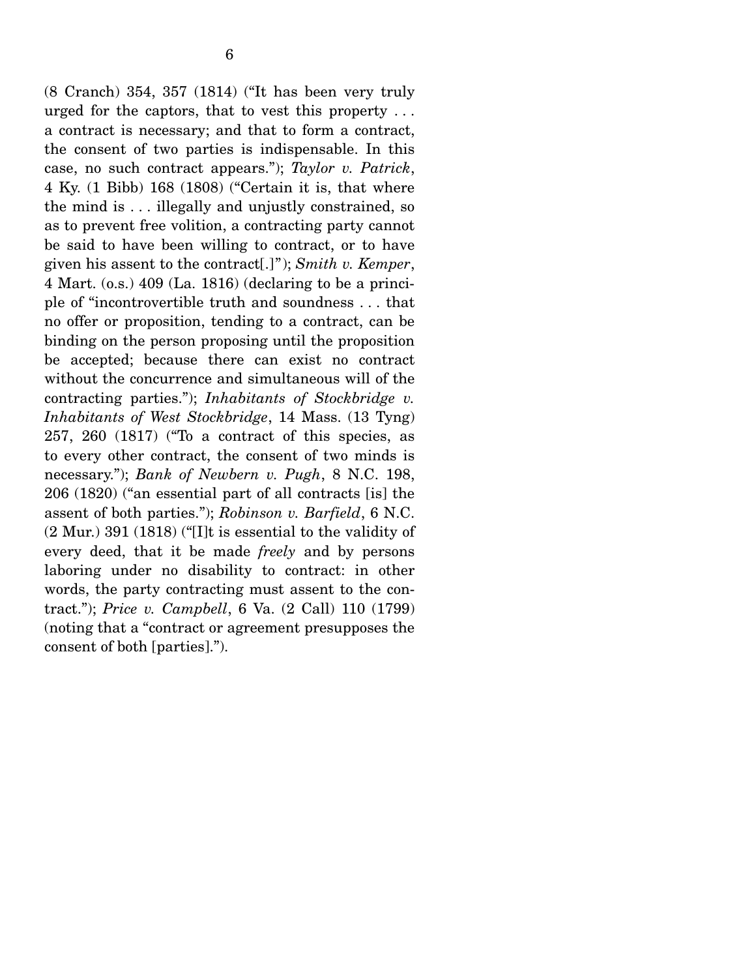(8 Cranch) 354, 357 (1814) ("It has been very truly urged for the captors, that to vest this property . . . a contract is necessary; and that to form a contract, the consent of two parties is indispensable. In this case, no such contract appears."); *Taylor v. Patrick*, 4 Ky. (1 Bibb) 168 (1808) ("Certain it is, that where the mind is . . . illegally and unjustly constrained, so as to prevent free volition, a contracting party cannot be said to have been willing to contract, or to have given his assent to the contract[.]"); *Smith v. Kemper*, 4 Mart. (o.s.) 409 (La. 1816) (declaring to be a principle of "incontrovertible truth and soundness . . . that no offer or proposition, tending to a contract, can be binding on the person proposing until the proposition be accepted; because there can exist no contract without the concurrence and simultaneous will of the contracting parties."); *Inhabitants of Stockbridge v. Inhabitants of West Stockbridge*, 14 Mass. (13 Tyng) 257, 260 (1817) ("To a contract of this species, as to every other contract, the consent of two minds is necessary."); *Bank of Newbern v. Pugh*, 8 N.C. 198, 206 (1820) ("an essential part of all contracts [is] the assent of both parties."); *Robinson v. Barfield*, 6 N.C. (2 Mur.) 391 (1818) ("[I]t is essential to the validity of every deed, that it be made *freely* and by persons laboring under no disability to contract: in other words, the party contracting must assent to the contract."); *Price v. Campbell*, 6 Va. (2 Call) 110 (1799) (noting that a "contract or agreement presupposes the consent of both [parties].").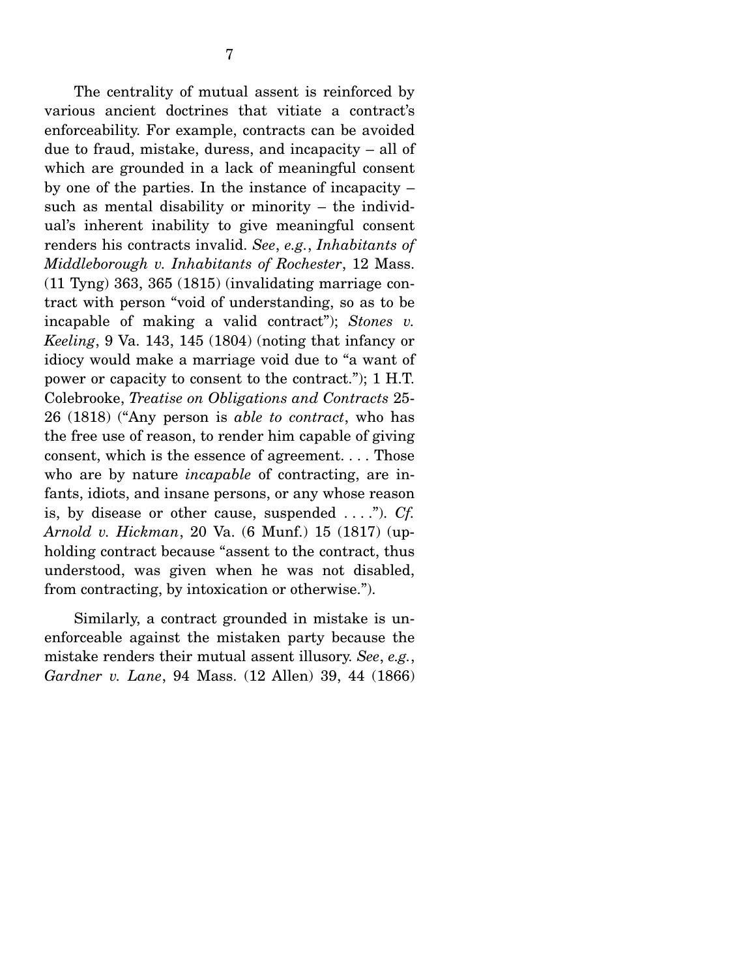The centrality of mutual assent is reinforced by various ancient doctrines that vitiate a contract's enforceability. For example, contracts can be avoided due to fraud, mistake, duress, and incapacity – all of which are grounded in a lack of meaningful consent by one of the parties. In the instance of incapacity – such as mental disability or minority – the individual's inherent inability to give meaningful consent renders his contracts invalid. *See*, *e.g.*, *Inhabitants of Middleborough v. Inhabitants of Rochester*, 12 Mass. (11 Tyng) 363, 365 (1815) (invalidating marriage contract with person "void of understanding, so as to be incapable of making a valid contract"); *Stones v. Keeling*, 9 Va. 143, 145 (1804) (noting that infancy or idiocy would make a marriage void due to "a want of power or capacity to consent to the contract."); 1 H.T. Colebrooke, *Treatise on Obligations and Contracts* 25- 26 (1818) ("Any person is *able to contract*, who has the free use of reason, to render him capable of giving consent, which is the essence of agreement. . . . Those who are by nature *incapable* of contracting, are infants, idiots, and insane persons, or any whose reason is, by disease or other cause, suspended . . . ."). *Cf. Arnold v. Hickman*, 20 Va. (6 Munf.) 15 (1817) (upholding contract because "assent to the contract, thus understood, was given when he was not disabled, from contracting, by intoxication or otherwise.").

 Similarly, a contract grounded in mistake is unenforceable against the mistaken party because the mistake renders their mutual assent illusory. *See*, *e.g.*, *Gardner v. Lane*, 94 Mass. (12 Allen) 39, 44 (1866)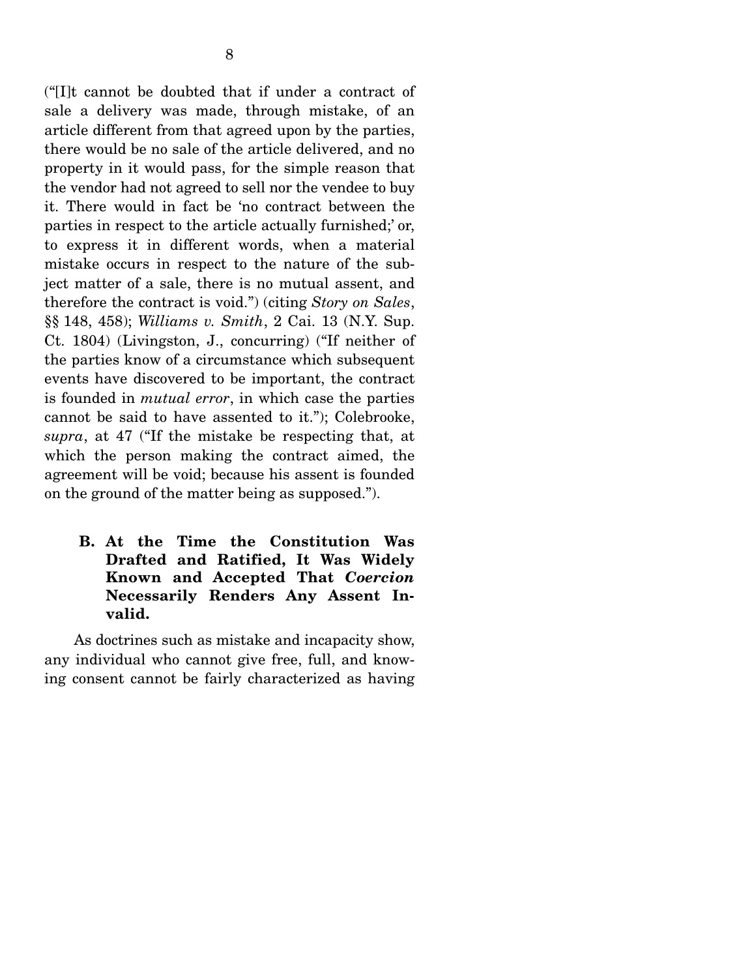("[I]t cannot be doubted that if under a contract of sale a delivery was made, through mistake, of an article different from that agreed upon by the parties, there would be no sale of the article delivered, and no property in it would pass, for the simple reason that the vendor had not agreed to sell nor the vendee to buy it. There would in fact be 'no contract between the parties in respect to the article actually furnished;' or, to express it in different words, when a material mistake occurs in respect to the nature of the subject matter of a sale, there is no mutual assent, and therefore the contract is void.") (citing *Story on Sales*, §§ 148, 458); *Williams v. Smith*, 2 Cai. 13 (N.Y. Sup. Ct. 1804) (Livingston, J., concurring) ("If neither of the parties know of a circumstance which subsequent events have discovered to be important, the contract is founded in *mutual error*, in which case the parties cannot be said to have assented to it."); Colebrooke, *supra*, at 47 ("If the mistake be respecting that, at which the person making the contract aimed, the agreement will be void; because his assent is founded on the ground of the matter being as supposed.").

**B. At the Time the Constitution Was Drafted and Ratified, It Was Widely Known and Accepted That** *Coercion* **Necessarily Renders Any Assent Invalid.** 

 As doctrines such as mistake and incapacity show, any individual who cannot give free, full, and knowing consent cannot be fairly characterized as having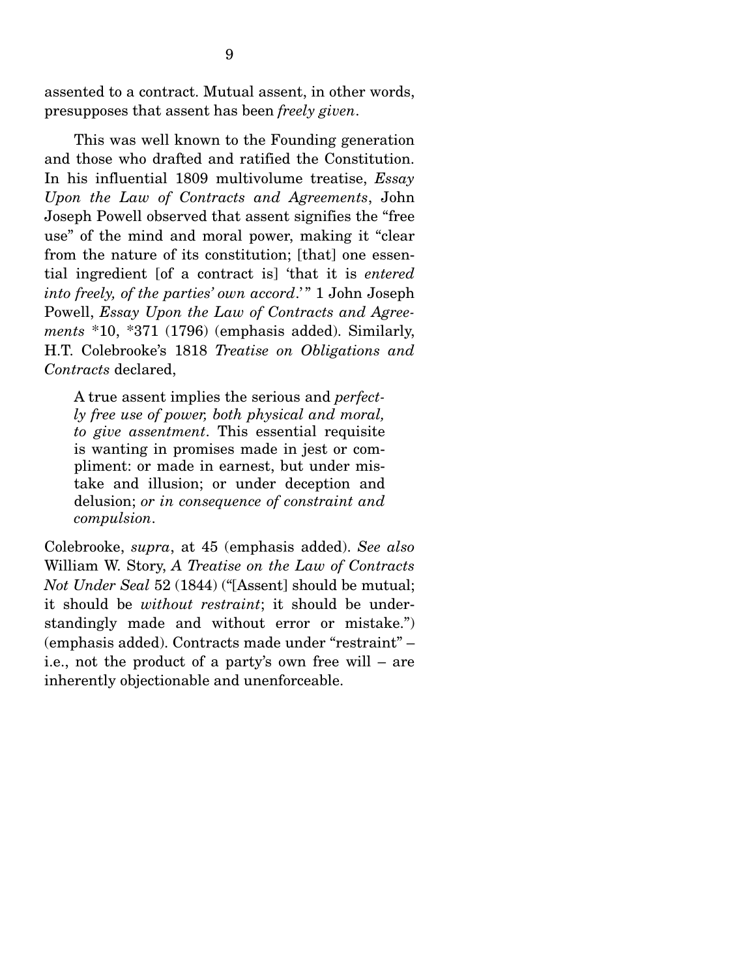assented to a contract. Mutual assent, in other words, presupposes that assent has been *freely given*.

 This was well known to the Founding generation and those who drafted and ratified the Constitution. In his influential 1809 multivolume treatise, *Essay Upon the Law of Contracts and Agreements*, John Joseph Powell observed that assent signifies the "free use" of the mind and moral power, making it "clear from the nature of its constitution; [that] one essential ingredient [of a contract is] 'that it is *entered into freely, of the parties' own accord.*'" 1 John Joseph Powell, *Essay Upon the Law of Contracts and Agreements* \*10, \*371 (1796) (emphasis added). Similarly, H.T. Colebrooke's 1818 *Treatise on Obligations and Contracts* declared,

A true assent implies the serious and *perfectly free use of power, both physical and moral, to give assentment*. This essential requisite is wanting in promises made in jest or compliment: or made in earnest, but under mistake and illusion; or under deception and delusion; *or in consequence of constraint and compulsion*.

Colebrooke, *supra*, at 45 (emphasis added). *See also* William W. Story, *A Treatise on the Law of Contracts Not Under Seal* 52 (1844) ("[Assent] should be mutual; it should be *without restraint*; it should be understandingly made and without error or mistake.") (emphasis added). Contracts made under "restraint" – i.e., not the product of a party's own free will – are inherently objectionable and unenforceable.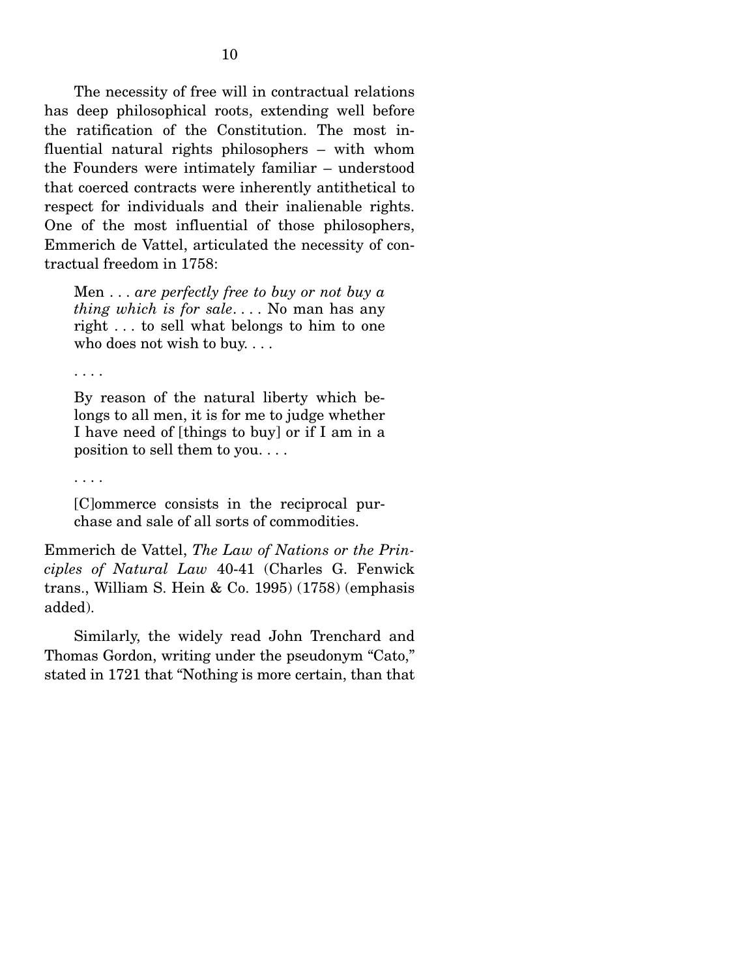The necessity of free will in contractual relations has deep philosophical roots, extending well before the ratification of the Constitution. The most influential natural rights philosophers – with whom the Founders were intimately familiar – understood that coerced contracts were inherently antithetical to respect for individuals and their inalienable rights. One of the most influential of those philosophers, Emmerich de Vattel, articulated the necessity of contractual freedom in 1758:

Men . . . *are perfectly free to buy or not buy a thing which is for sale*. . . . No man has any right . . . to sell what belongs to him to one who does not wish to buy. . . .

. . . .

By reason of the natural liberty which belongs to all men, it is for me to judge whether I have need of [things to buy] or if I am in a position to sell them to you. . . .

. . . .

[C]ommerce consists in the reciprocal purchase and sale of all sorts of commodities.

Emmerich de Vattel, *The Law of Nations or the Principles of Natural Law* 40-41 (Charles G. Fenwick trans., William S. Hein & Co. 1995) (1758) (emphasis added).

 Similarly, the widely read John Trenchard and Thomas Gordon, writing under the pseudonym "Cato," stated in 1721 that "Nothing is more certain, than that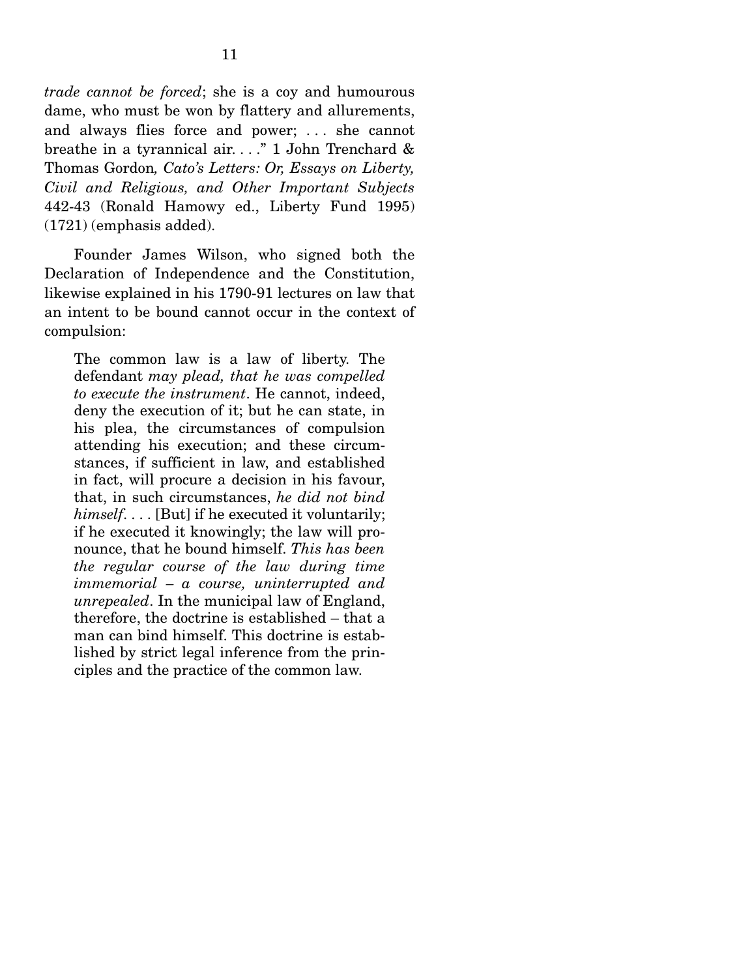*trade cannot be forced*; she is a coy and humourous dame, who must be won by flattery and allurements, and always flies force and power; . . . she cannot breathe in a tyrannical air. . . ." 1 John Trenchard & Thomas Gordon*, Cato's Letters: Or, Essays on Liberty, Civil and Religious, and Other Important Subjects* 442-43 (Ronald Hamowy ed., Liberty Fund 1995) (1721) (emphasis added).

 Founder James Wilson, who signed both the Declaration of Independence and the Constitution, likewise explained in his 1790-91 lectures on law that an intent to be bound cannot occur in the context of compulsion:

The common law is a law of liberty. The defendant *may plead, that he was compelled to execute the instrument*. He cannot, indeed, deny the execution of it; but he can state, in his plea, the circumstances of compulsion attending his execution; and these circumstances, if sufficient in law, and established in fact, will procure a decision in his favour, that, in such circumstances, *he did not bind himself*. . . . [But] if he executed it voluntarily; if he executed it knowingly; the law will pronounce, that he bound himself. *This has been the regular course of the law during time immemorial – a course, uninterrupted and unrepealed*. In the municipal law of England, therefore, the doctrine is established – that a man can bind himself. This doctrine is established by strict legal inference from the principles and the practice of the common law.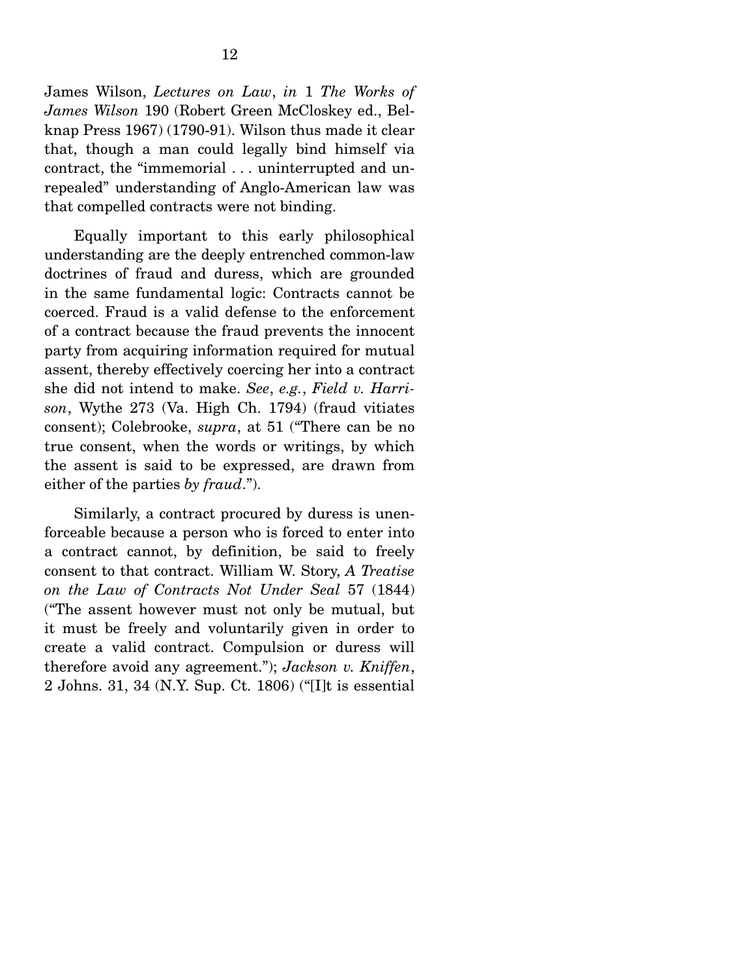James Wilson, *Lectures on Law*, *in* 1 *The Works of James Wilson* 190 (Robert Green McCloskey ed., Belknap Press 1967) (1790-91). Wilson thus made it clear that, though a man could legally bind himself via contract, the "immemorial . . . uninterrupted and unrepealed" understanding of Anglo-American law was that compelled contracts were not binding.

 Equally important to this early philosophical understanding are the deeply entrenched common-law doctrines of fraud and duress, which are grounded in the same fundamental logic: Contracts cannot be coerced. Fraud is a valid defense to the enforcement of a contract because the fraud prevents the innocent party from acquiring information required for mutual assent, thereby effectively coercing her into a contract she did not intend to make. *See*, *e.g.*, *Field v. Harrison*, Wythe 273 (Va. High Ch. 1794) (fraud vitiates consent); Colebrooke, *supra*, at 51 ("There can be no true consent, when the words or writings, by which the assent is said to be expressed, are drawn from either of the parties *by fraud*.").

 Similarly, a contract procured by duress is unenforceable because a person who is forced to enter into a contract cannot, by definition, be said to freely consent to that contract. William W. Story, *A Treatise on the Law of Contracts Not Under Seal* 57 (1844) ("The assent however must not only be mutual, but it must be freely and voluntarily given in order to create a valid contract. Compulsion or duress will therefore avoid any agreement."); *Jackson v. Kniffen*, 2 Johns. 31, 34 (N.Y. Sup. Ct. 1806) ("[I]t is essential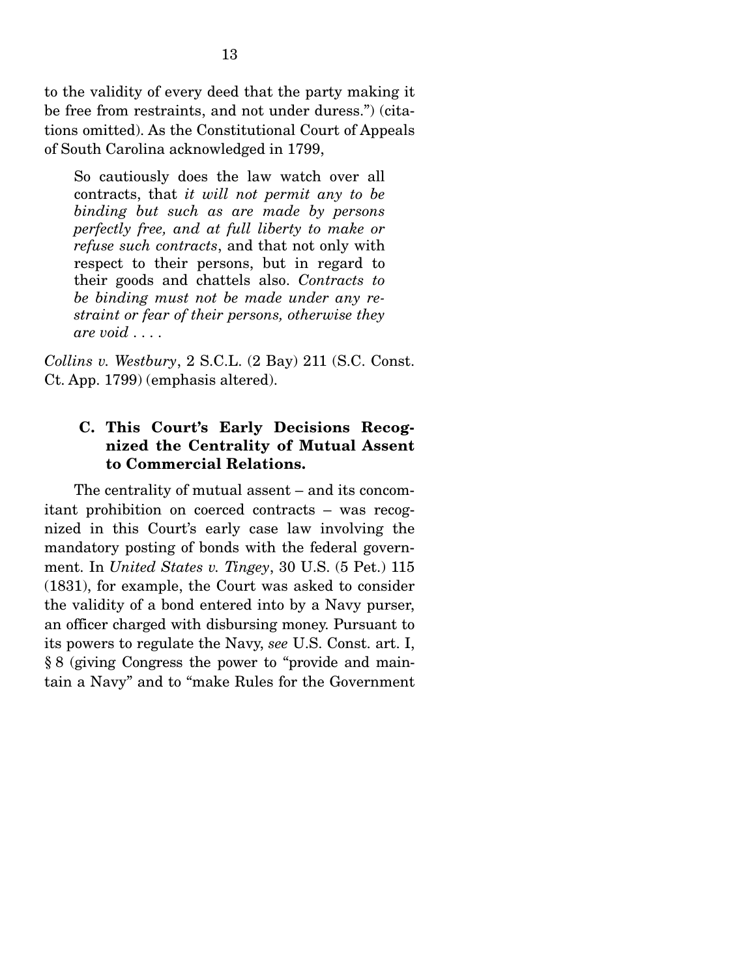to the validity of every deed that the party making it be free from restraints, and not under duress.") (citations omitted). As the Constitutional Court of Appeals of South Carolina acknowledged in 1799,

So cautiously does the law watch over all contracts, that *it will not permit any to be binding but such as are made by persons perfectly free, and at full liberty to make or refuse such contracts*, and that not only with respect to their persons, but in regard to their goods and chattels also. *Contracts to be binding must not be made under any restraint or fear of their persons, otherwise they are void* . . . .

*Collins v. Westbury*, 2 S.C.L. (2 Bay) 211 (S.C. Const. Ct. App. 1799) (emphasis altered).

## **C. This Court's Early Decisions Recognized the Centrality of Mutual Assent to Commercial Relations.**

 The centrality of mutual assent – and its concomitant prohibition on coerced contracts – was recognized in this Court's early case law involving the mandatory posting of bonds with the federal government. In *United States v. Tingey*, 30 U.S. (5 Pet.) 115 (1831), for example, the Court was asked to consider the validity of a bond entered into by a Navy purser, an officer charged with disbursing money. Pursuant to its powers to regulate the Navy, *see* U.S. Const. art. I, § 8 (giving Congress the power to "provide and maintain a Navy" and to "make Rules for the Government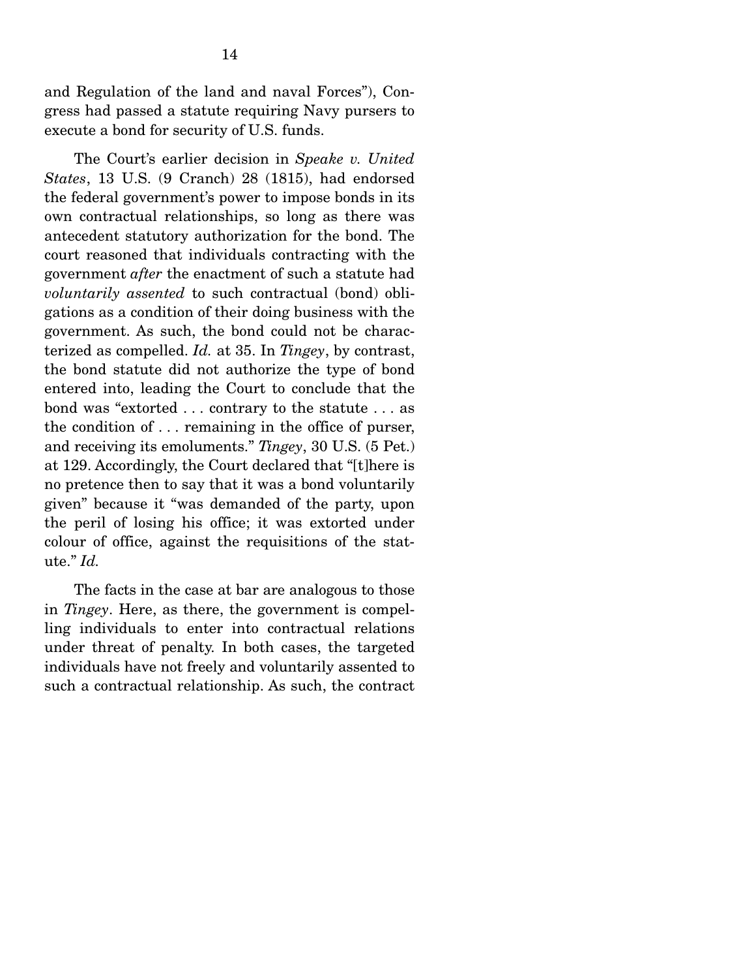and Regulation of the land and naval Forces"), Congress had passed a statute requiring Navy pursers to execute a bond for security of U.S. funds.

 The Court's earlier decision in *Speake v. United States*, 13 U.S. (9 Cranch) 28 (1815), had endorsed the federal government's power to impose bonds in its own contractual relationships, so long as there was antecedent statutory authorization for the bond. The court reasoned that individuals contracting with the government *after* the enactment of such a statute had *voluntarily assented* to such contractual (bond) obligations as a condition of their doing business with the government. As such, the bond could not be characterized as compelled. *Id.* at 35. In *Tingey*, by contrast, the bond statute did not authorize the type of bond entered into, leading the Court to conclude that the bond was "extorted . . . contrary to the statute . . . as the condition of . . . remaining in the office of purser, and receiving its emoluments." *Tingey*, 30 U.S. (5 Pet.) at 129. Accordingly, the Court declared that "[t]here is no pretence then to say that it was a bond voluntarily given" because it "was demanded of the party, upon the peril of losing his office; it was extorted under colour of office, against the requisitions of the statute." *Id.*

 The facts in the case at bar are analogous to those in *Tingey*. Here, as there, the government is compelling individuals to enter into contractual relations under threat of penalty. In both cases, the targeted individuals have not freely and voluntarily assented to such a contractual relationship. As such, the contract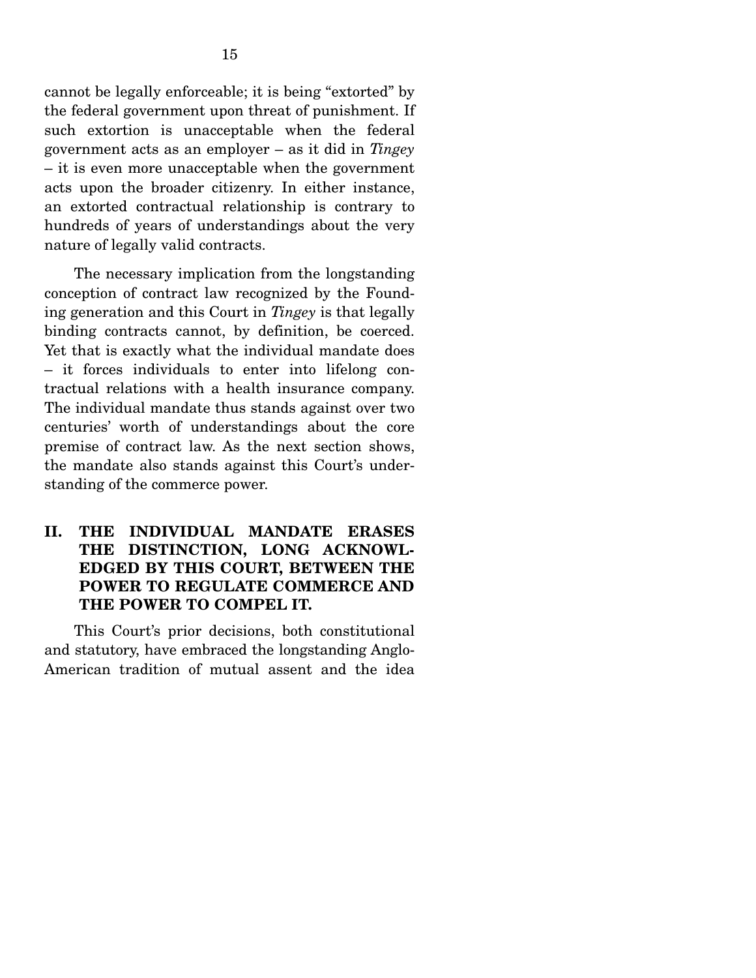cannot be legally enforceable; it is being "extorted" by the federal government upon threat of punishment. If such extortion is unacceptable when the federal government acts as an employer – as it did in *Tingey* – it is even more unacceptable when the government acts upon the broader citizenry. In either instance, an extorted contractual relationship is contrary to hundreds of years of understandings about the very nature of legally valid contracts.

 The necessary implication from the longstanding conception of contract law recognized by the Founding generation and this Court in *Tingey* is that legally binding contracts cannot, by definition, be coerced. Yet that is exactly what the individual mandate does – it forces individuals to enter into lifelong contractual relations with a health insurance company. The individual mandate thus stands against over two centuries' worth of understandings about the core premise of contract law. As the next section shows, the mandate also stands against this Court's understanding of the commerce power.

## **II. THE INDIVIDUAL MANDATE ERASES THE DISTINCTION, LONG ACKNOWL-EDGED BY THIS COURT, BETWEEN THE POWER TO REGULATE COMMERCE AND THE POWER TO COMPEL IT.**

 This Court's prior decisions, both constitutional and statutory, have embraced the longstanding Anglo-American tradition of mutual assent and the idea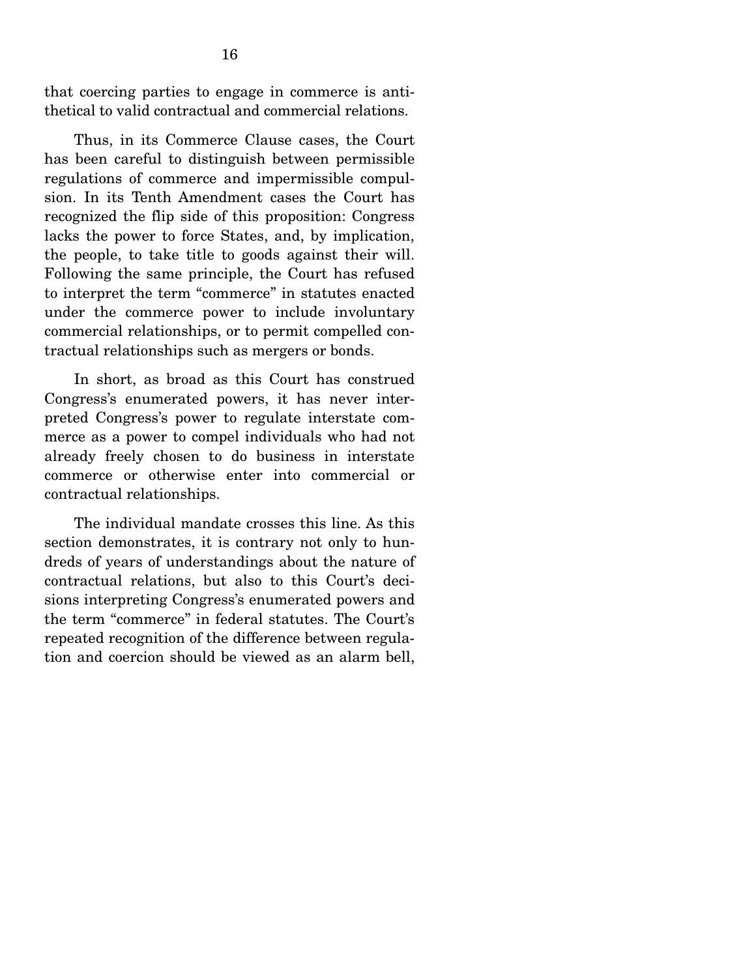that coercing parties to engage in commerce is antithetical to valid contractual and commercial relations.

 Thus, in its Commerce Clause cases, the Court has been careful to distinguish between permissible regulations of commerce and impermissible compulsion. In its Tenth Amendment cases the Court has recognized the flip side of this proposition: Congress lacks the power to force States, and, by implication, the people, to take title to goods against their will. Following the same principle, the Court has refused to interpret the term "commerce" in statutes enacted under the commerce power to include involuntary commercial relationships, or to permit compelled contractual relationships such as mergers or bonds.

 In short, as broad as this Court has construed Congress's enumerated powers, it has never interpreted Congress's power to regulate interstate commerce as a power to compel individuals who had not already freely chosen to do business in interstate commerce or otherwise enter into commercial or contractual relationships.

 The individual mandate crosses this line. As this section demonstrates, it is contrary not only to hundreds of years of understandings about the nature of contractual relations, but also to this Court's decisions interpreting Congress's enumerated powers and the term "commerce" in federal statutes. The Court's repeated recognition of the difference between regulation and coercion should be viewed as an alarm bell,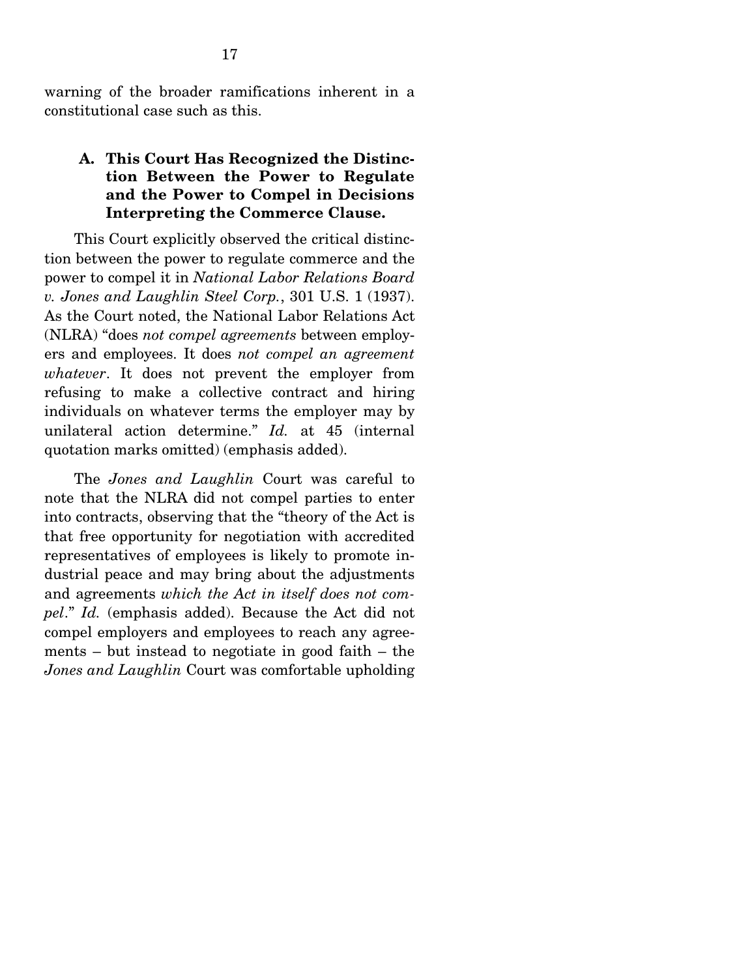warning of the broader ramifications inherent in a constitutional case such as this.

## **A. This Court Has Recognized the Distinction Between the Power to Regulate and the Power to Compel in Decisions Interpreting the Commerce Clause.**

 This Court explicitly observed the critical distinction between the power to regulate commerce and the power to compel it in *National Labor Relations Board v. Jones and Laughlin Steel Corp.*, 301 U.S. 1 (1937). As the Court noted, the National Labor Relations Act (NLRA) "does *not compel agreements* between employers and employees. It does *not compel an agreement whatever*. It does not prevent the employer from refusing to make a collective contract and hiring individuals on whatever terms the employer may by unilateral action determine." *Id.* at 45 (internal quotation marks omitted) (emphasis added).

 The *Jones and Laughlin* Court was careful to note that the NLRA did not compel parties to enter into contracts, observing that the "theory of the Act is that free opportunity for negotiation with accredited representatives of employees is likely to promote industrial peace and may bring about the adjustments and agreements *which the Act in itself does not compel*." *Id.* (emphasis added). Because the Act did not compel employers and employees to reach any agreements – but instead to negotiate in good faith – the *Jones and Laughlin* Court was comfortable upholding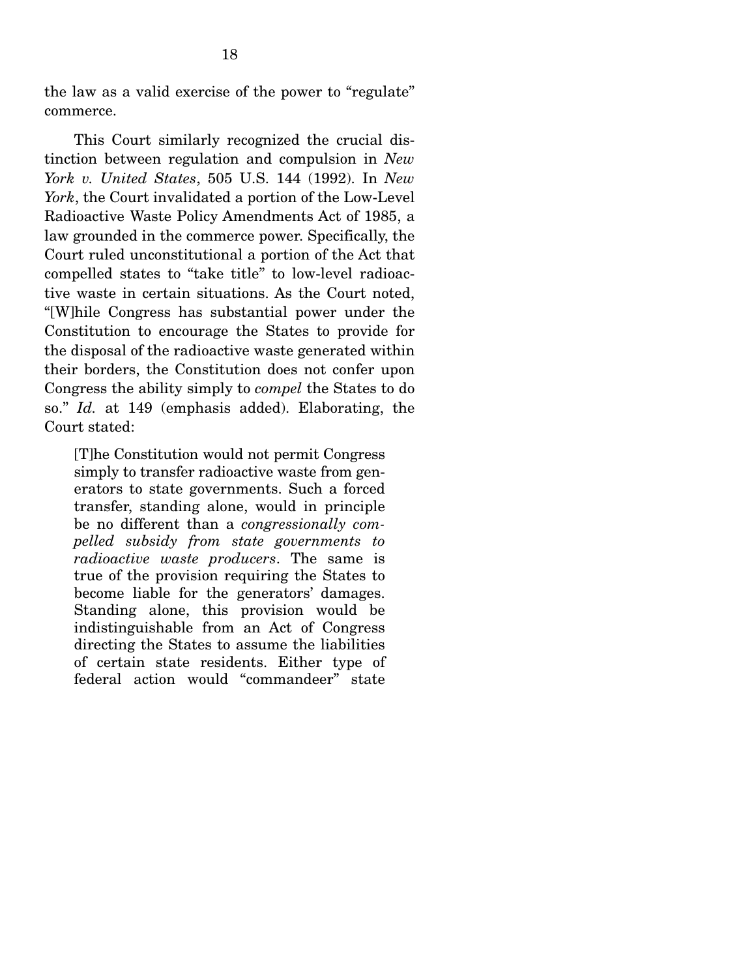the law as a valid exercise of the power to "regulate" commerce.

 This Court similarly recognized the crucial distinction between regulation and compulsion in *New York v. United States*, 505 U.S. 144 (1992). In *New York*, the Court invalidated a portion of the Low-Level Radioactive Waste Policy Amendments Act of 1985, a law grounded in the commerce power. Specifically, the Court ruled unconstitutional a portion of the Act that compelled states to "take title" to low-level radioactive waste in certain situations. As the Court noted, "[W]hile Congress has substantial power under the Constitution to encourage the States to provide for the disposal of the radioactive waste generated within their borders, the Constitution does not confer upon Congress the ability simply to *compel* the States to do so." *Id.* at 149 (emphasis added). Elaborating, the Court stated:

[T]he Constitution would not permit Congress simply to transfer radioactive waste from generators to state governments. Such a forced transfer, standing alone, would in principle be no different than a *congressionally compelled subsidy from state governments to radioactive waste producers*. The same is true of the provision requiring the States to become liable for the generators' damages. Standing alone, this provision would be indistinguishable from an Act of Congress directing the States to assume the liabilities of certain state residents. Either type of federal action would "commandeer" state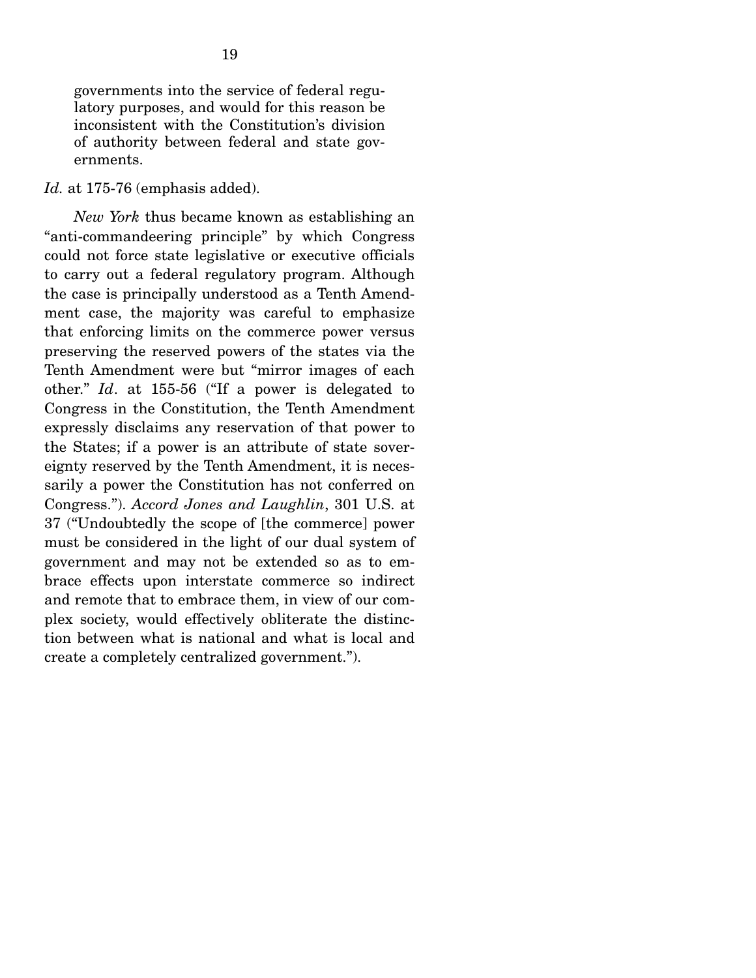governments into the service of federal regulatory purposes, and would for this reason be inconsistent with the Constitution's division of authority between federal and state governments.

#### *Id.* at 175-76 (emphasis added).

*New York* thus became known as establishing an "anti-commandeering principle" by which Congress could not force state legislative or executive officials to carry out a federal regulatory program. Although the case is principally understood as a Tenth Amendment case, the majority was careful to emphasize that enforcing limits on the commerce power versus preserving the reserved powers of the states via the Tenth Amendment were but "mirror images of each other." *Id*. at 155-56 ("If a power is delegated to Congress in the Constitution, the Tenth Amendment expressly disclaims any reservation of that power to the States; if a power is an attribute of state sovereignty reserved by the Tenth Amendment, it is necessarily a power the Constitution has not conferred on Congress."). *Accord Jones and Laughlin*, 301 U.S. at 37 ("Undoubtedly the scope of [the commerce] power must be considered in the light of our dual system of government and may not be extended so as to embrace effects upon interstate commerce so indirect and remote that to embrace them, in view of our complex society, would effectively obliterate the distinction between what is national and what is local and create a completely centralized government.").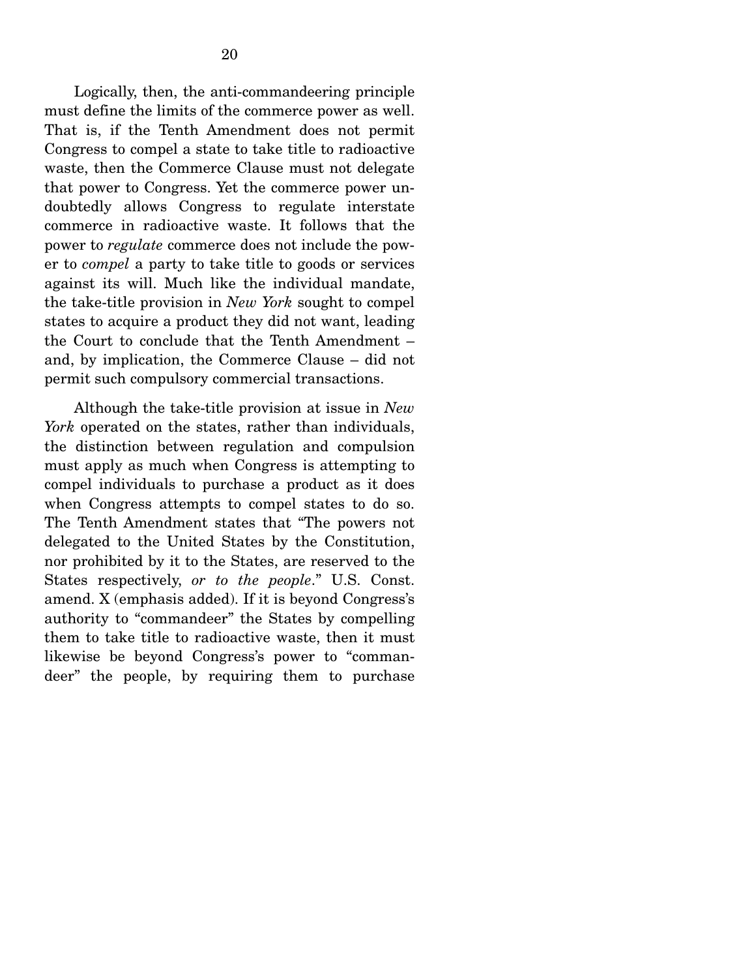Logically, then, the anti-commandeering principle must define the limits of the commerce power as well. That is, if the Tenth Amendment does not permit Congress to compel a state to take title to radioactive waste, then the Commerce Clause must not delegate that power to Congress. Yet the commerce power undoubtedly allows Congress to regulate interstate commerce in radioactive waste. It follows that the power to *regulate* commerce does not include the power to *compel* a party to take title to goods or services against its will. Much like the individual mandate, the take-title provision in *New York* sought to compel states to acquire a product they did not want, leading the Court to conclude that the Tenth Amendment – and, by implication, the Commerce Clause – did not permit such compulsory commercial transactions.

 Although the take-title provision at issue in *New York* operated on the states, rather than individuals, the distinction between regulation and compulsion must apply as much when Congress is attempting to compel individuals to purchase a product as it does when Congress attempts to compel states to do so. The Tenth Amendment states that "The powers not delegated to the United States by the Constitution, nor prohibited by it to the States, are reserved to the States respectively, *or to the people*." U.S. Const. amend. X (emphasis added). If it is beyond Congress's authority to "commandeer" the States by compelling them to take title to radioactive waste, then it must likewise be beyond Congress's power to "commandeer" the people, by requiring them to purchase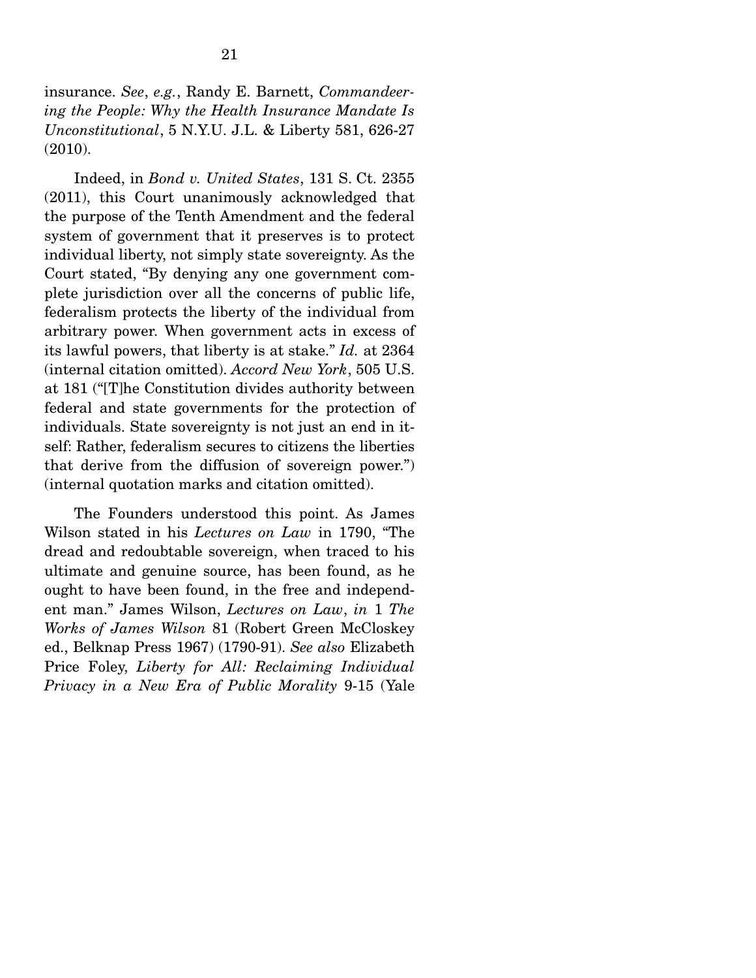insurance. *See*, *e.g.*, Randy E. Barnett, *Commandeering the People: Why the Health Insurance Mandate Is Unconstitutional*, 5 N.Y.U. J.L. & Liberty 581, 626-27 (2010).

 Indeed, in *Bond v. United States*, 131 S. Ct. 2355 (2011), this Court unanimously acknowledged that the purpose of the Tenth Amendment and the federal system of government that it preserves is to protect individual liberty, not simply state sovereignty. As the Court stated, "By denying any one government complete jurisdiction over all the concerns of public life, federalism protects the liberty of the individual from arbitrary power. When government acts in excess of its lawful powers, that liberty is at stake." *Id.* at 2364 (internal citation omitted). *Accord New York*, 505 U.S. at 181 ("[T]he Constitution divides authority between federal and state governments for the protection of individuals. State sovereignty is not just an end in itself: Rather, federalism secures to citizens the liberties that derive from the diffusion of sovereign power.") (internal quotation marks and citation omitted).

 The Founders understood this point. As James Wilson stated in his *Lectures on Law* in 1790, "The dread and redoubtable sovereign, when traced to his ultimate and genuine source, has been found, as he ought to have been found, in the free and independent man." James Wilson, *Lectures on Law*, *in* 1 *The Works of James Wilson* 81 (Robert Green McCloskey ed., Belknap Press 1967) (1790-91). *See also* Elizabeth Price Foley, *Liberty for All: Reclaiming Individual Privacy in a New Era of Public Morality* 9-15 (Yale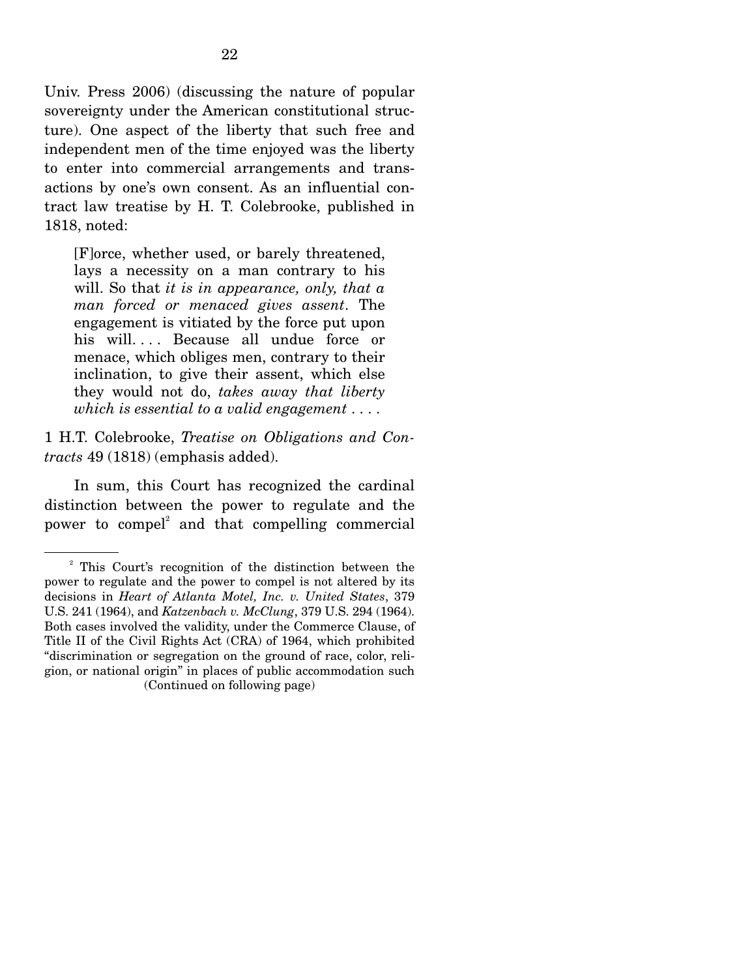Univ. Press 2006) (discussing the nature of popular sovereignty under the American constitutional structure). One aspect of the liberty that such free and independent men of the time enjoyed was the liberty to enter into commercial arrangements and transactions by one's own consent. As an influential contract law treatise by H. T. Colebrooke, published in 1818, noted:

[F]orce, whether used, or barely threatened, lays a necessity on a man contrary to his will. So that *it is in appearance, only, that a man forced or menaced gives assent*. The engagement is vitiated by the force put upon his will.... Because all undue force or menace, which obliges men, contrary to their inclination, to give their assent, which else they would not do, *takes away that liberty which is essential to a valid engagement* . . . .

1 H.T. Colebrooke, *Treatise on Obligations and Contracts* 49 (1818) (emphasis added).

 In sum, this Court has recognized the cardinal distinction between the power to regulate and the power to compel<sup>2</sup> and that compelling commercial

<sup>&</sup>lt;sup>2</sup> This Court's recognition of the distinction between the power to regulate and the power to compel is not altered by its decisions in *Heart of Atlanta Motel, Inc. v. United States*, 379 U.S. 241 (1964), and *Katzenbach v. McClung*, 379 U.S. 294 (1964). Both cases involved the validity, under the Commerce Clause, of Title II of the Civil Rights Act (CRA) of 1964, which prohibited "discrimination or segregation on the ground of race, color, religion, or national origin" in places of public accommodation such (Continued on following page)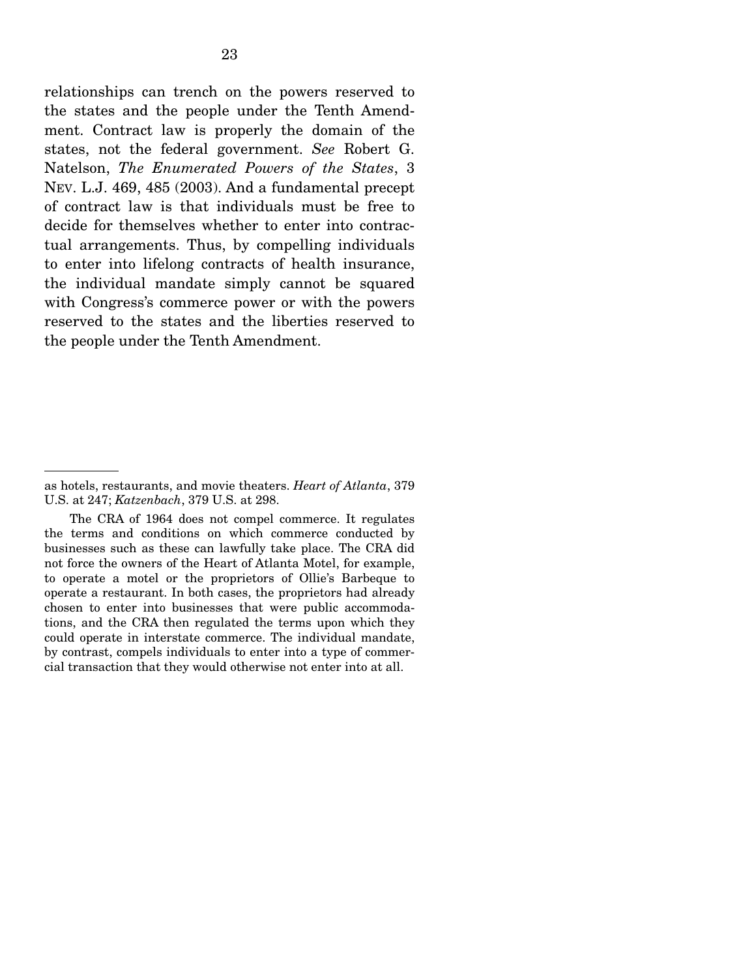relationships can trench on the powers reserved to the states and the people under the Tenth Amendment. Contract law is properly the domain of the states, not the federal government. *See* Robert G. Natelson, *The Enumerated Powers of the States*, 3 NEV. L.J. 469, 485 (2003). And a fundamental precept of contract law is that individuals must be free to decide for themselves whether to enter into contractual arrangements. Thus, by compelling individuals to enter into lifelong contracts of health insurance, the individual mandate simply cannot be squared with Congress's commerce power or with the powers reserved to the states and the liberties reserved to the people under the Tenth Amendment.

as hotels, restaurants, and movie theaters. *Heart of Atlanta*, 379 U.S. at 247; *Katzenbach*, 379 U.S. at 298.

The CRA of 1964 does not compel commerce. It regulates the terms and conditions on which commerce conducted by businesses such as these can lawfully take place. The CRA did not force the owners of the Heart of Atlanta Motel, for example, to operate a motel or the proprietors of Ollie's Barbeque to operate a restaurant. In both cases, the proprietors had already chosen to enter into businesses that were public accommodations, and the CRA then regulated the terms upon which they could operate in interstate commerce. The individual mandate, by contrast, compels individuals to enter into a type of commercial transaction that they would otherwise not enter into at all.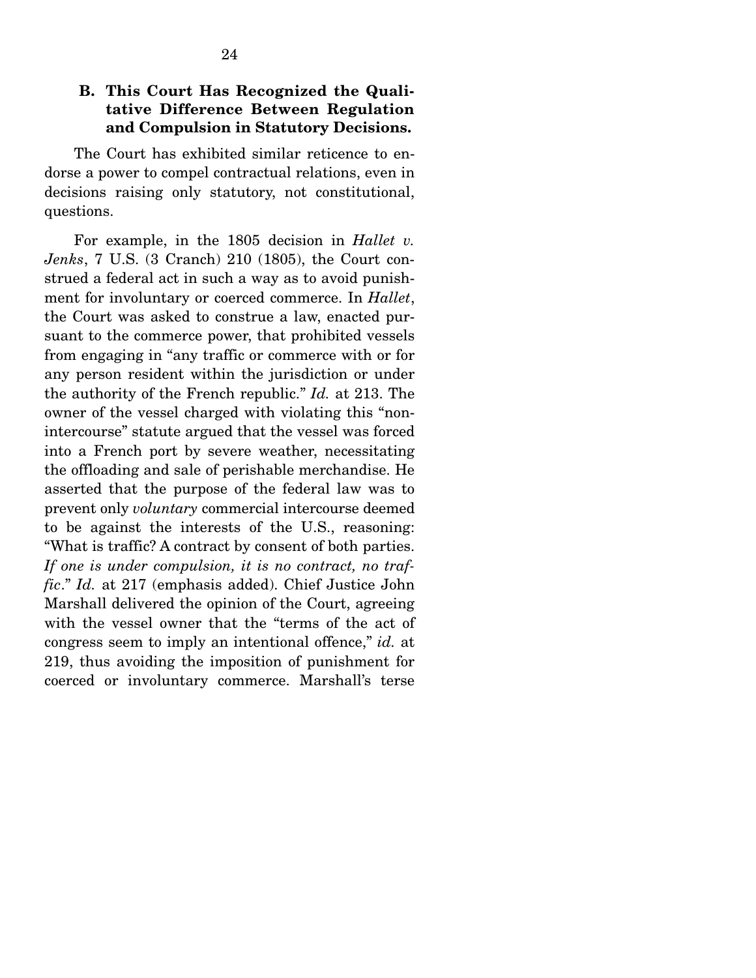### **B. This Court Has Recognized the Qualitative Difference Between Regulation and Compulsion in Statutory Decisions.**

 The Court has exhibited similar reticence to endorse a power to compel contractual relations, even in decisions raising only statutory, not constitutional, questions.

 For example, in the 1805 decision in *Hallet v. Jenks*, 7 U.S. (3 Cranch) 210 (1805), the Court construed a federal act in such a way as to avoid punishment for involuntary or coerced commerce. In *Hallet*, the Court was asked to construe a law, enacted pursuant to the commerce power, that prohibited vessels from engaging in "any traffic or commerce with or for any person resident within the jurisdiction or under the authority of the French republic." *Id.* at 213. The owner of the vessel charged with violating this "nonintercourse" statute argued that the vessel was forced into a French port by severe weather, necessitating the offloading and sale of perishable merchandise. He asserted that the purpose of the federal law was to prevent only *voluntary* commercial intercourse deemed to be against the interests of the U.S., reasoning: "What is traffic? A contract by consent of both parties. *If one is under compulsion, it is no contract, no traffic*." *Id.* at 217 (emphasis added). Chief Justice John Marshall delivered the opinion of the Court, agreeing with the vessel owner that the "terms of the act of congress seem to imply an intentional offence," *id.* at 219, thus avoiding the imposition of punishment for coerced or involuntary commerce. Marshall's terse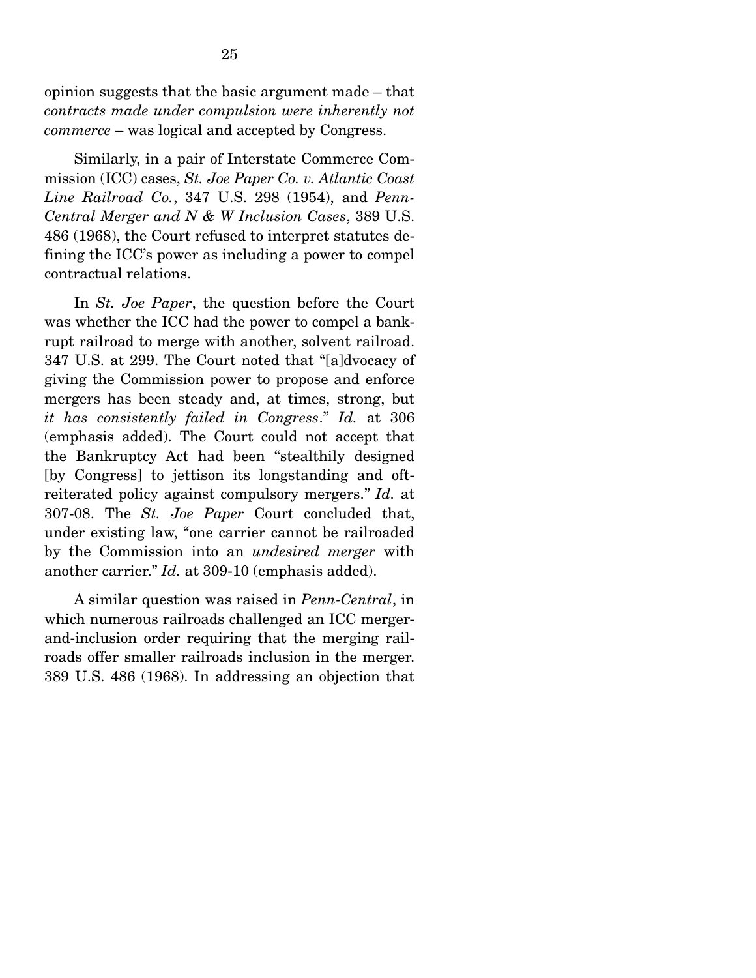opinion suggests that the basic argument made – that *contracts made under compulsion were inherently not commerce* – was logical and accepted by Congress.

 Similarly, in a pair of Interstate Commerce Commission (ICC) cases, *St. Joe Paper Co. v. Atlantic Coast Line Railroad Co.*, 347 U.S. 298 (1954), and *Penn-Central Merger and N & W Inclusion Cases*, 389 U.S. 486 (1968), the Court refused to interpret statutes defining the ICC's power as including a power to compel contractual relations.

 In *St. Joe Paper*, the question before the Court was whether the ICC had the power to compel a bankrupt railroad to merge with another, solvent railroad. 347 U.S. at 299. The Court noted that "[a]dvocacy of giving the Commission power to propose and enforce mergers has been steady and, at times, strong, but *it has consistently failed in Congress*." *Id.* at 306 (emphasis added). The Court could not accept that the Bankruptcy Act had been "stealthily designed [by Congress] to jettison its longstanding and oftreiterated policy against compulsory mergers." *Id.* at 307-08. The *St. Joe Paper* Court concluded that, under existing law, "one carrier cannot be railroaded by the Commission into an *undesired merger* with another carrier." *Id.* at 309-10 (emphasis added).

 A similar question was raised in *Penn-Central*, in which numerous railroads challenged an ICC mergerand-inclusion order requiring that the merging railroads offer smaller railroads inclusion in the merger. 389 U.S. 486 (1968). In addressing an objection that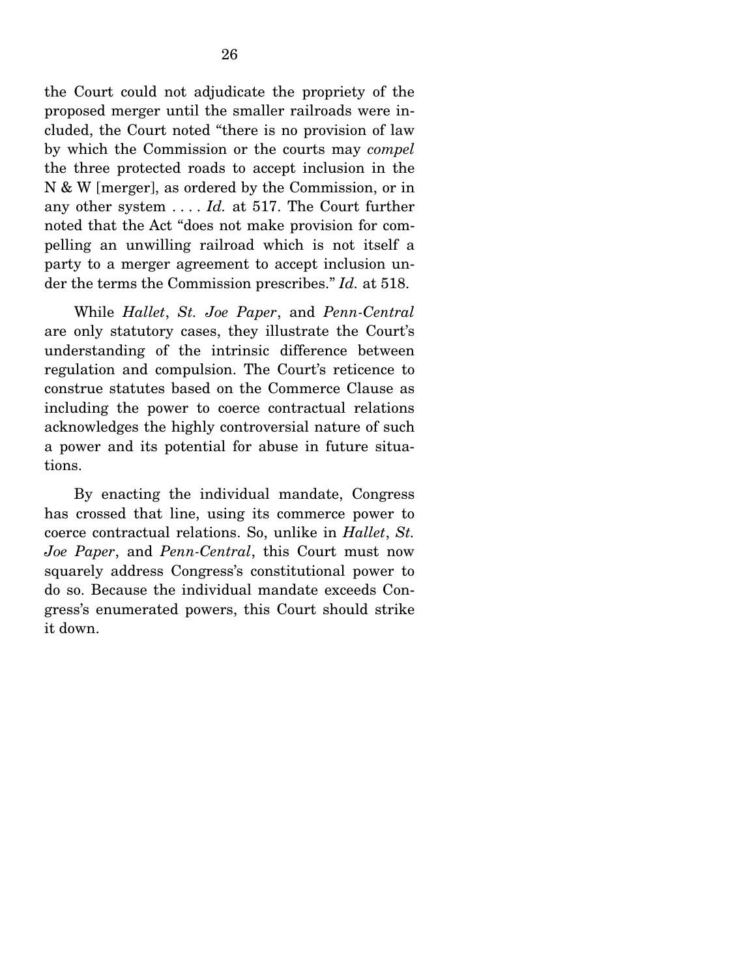the Court could not adjudicate the propriety of the proposed merger until the smaller railroads were included, the Court noted "there is no provision of law by which the Commission or the courts may *compel* the three protected roads to accept inclusion in the N & W [merger], as ordered by the Commission, or in any other system . . . . *Id.* at 517. The Court further noted that the Act "does not make provision for compelling an unwilling railroad which is not itself a party to a merger agreement to accept inclusion under the terms the Commission prescribes." *Id.* at 518.

 While *Hallet*, *St. Joe Paper*, and *Penn-Central* are only statutory cases, they illustrate the Court's understanding of the intrinsic difference between regulation and compulsion. The Court's reticence to construe statutes based on the Commerce Clause as including the power to coerce contractual relations acknowledges the highly controversial nature of such a power and its potential for abuse in future situations.

 By enacting the individual mandate, Congress has crossed that line, using its commerce power to coerce contractual relations. So, unlike in *Hallet*, *St. Joe Paper*, and *Penn-Central*, this Court must now squarely address Congress's constitutional power to do so. Because the individual mandate exceeds Congress's enumerated powers, this Court should strike it down.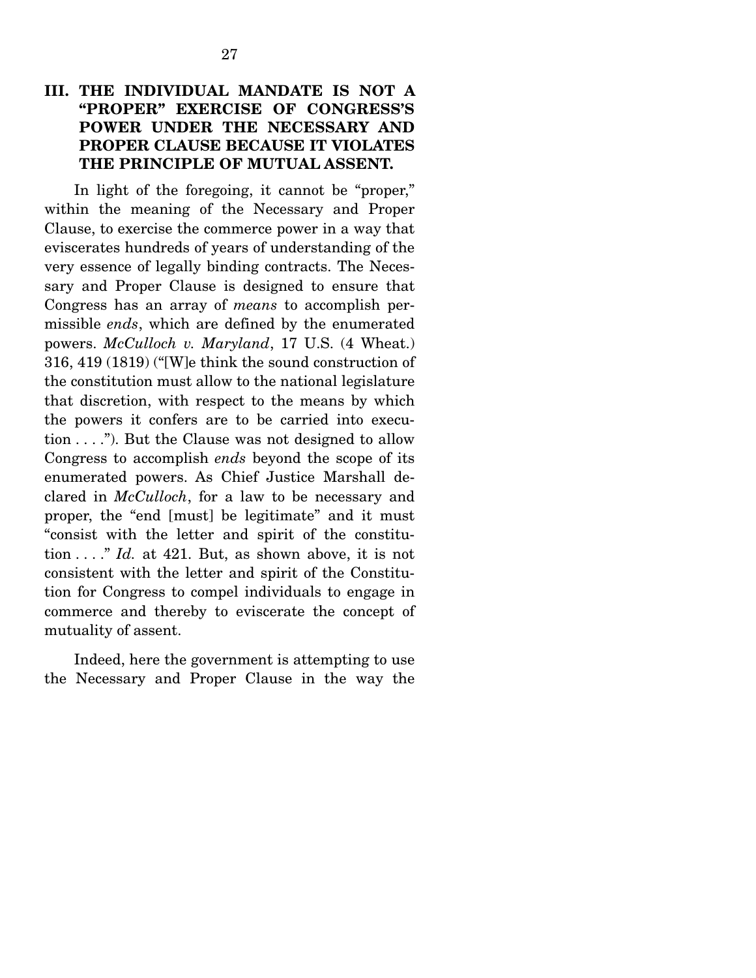## **III. THE INDIVIDUAL MANDATE IS NOT A "PROPER" EXERCISE OF CONGRESS'S POWER UNDER THE NECESSARY AND PROPER CLAUSE BECAUSE IT VIOLATES THE PRINCIPLE OF MUTUAL ASSENT.**

 In light of the foregoing, it cannot be "proper," within the meaning of the Necessary and Proper Clause, to exercise the commerce power in a way that eviscerates hundreds of years of understanding of the very essence of legally binding contracts. The Necessary and Proper Clause is designed to ensure that Congress has an array of *means* to accomplish permissible *ends*, which are defined by the enumerated powers. *McCulloch v. Maryland*, 17 U.S. (4 Wheat.) 316, 419 (1819) ("[W]e think the sound construction of the constitution must allow to the national legislature that discretion, with respect to the means by which the powers it confers are to be carried into execution  $\dots$ ."). But the Clause was not designed to allow Congress to accomplish *ends* beyond the scope of its enumerated powers. As Chief Justice Marshall declared in *McCulloch*, for a law to be necessary and proper, the "end [must] be legitimate" and it must "consist with the letter and spirit of the constitution . . . ." *Id.* at 421. But, as shown above, it is not consistent with the letter and spirit of the Constitution for Congress to compel individuals to engage in commerce and thereby to eviscerate the concept of mutuality of assent.

 Indeed, here the government is attempting to use the Necessary and Proper Clause in the way the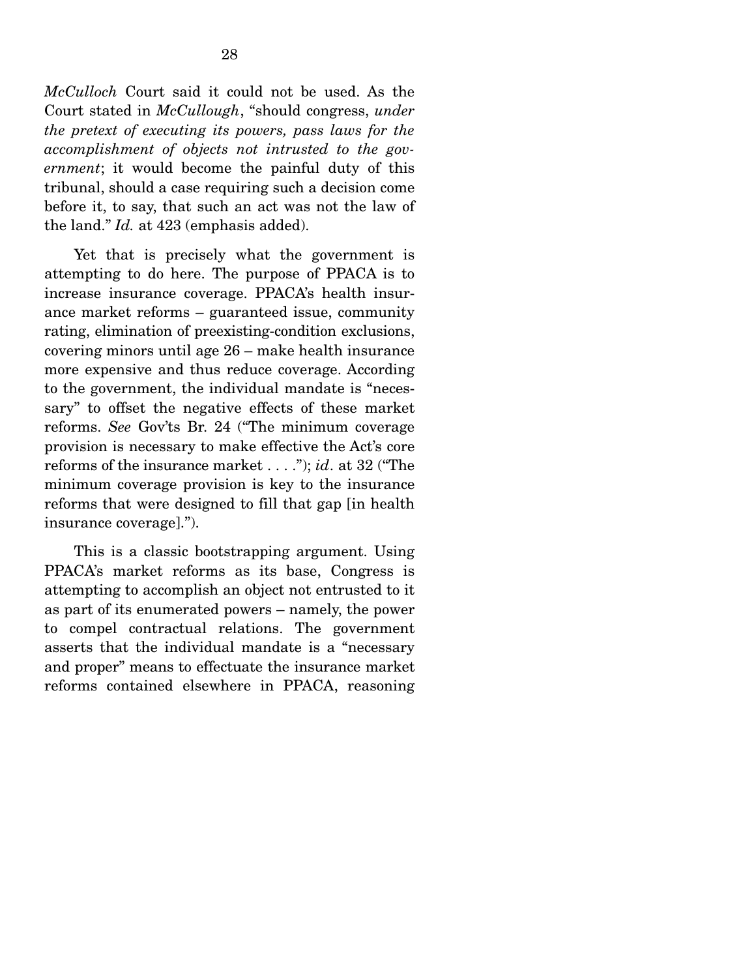*McCulloch* Court said it could not be used. As the Court stated in *McCullough*, "should congress, *under the pretext of executing its powers, pass laws for the accomplishment of objects not intrusted to the government*; it would become the painful duty of this tribunal, should a case requiring such a decision come before it, to say, that such an act was not the law of the land." *Id.* at 423 (emphasis added).

 Yet that is precisely what the government is attempting to do here. The purpose of PPACA is to increase insurance coverage. PPACA's health insurance market reforms – guaranteed issue, community rating, elimination of preexisting-condition exclusions, covering minors until age 26 – make health insurance more expensive and thus reduce coverage. According to the government, the individual mandate is "necessary" to offset the negative effects of these market reforms. *See* Gov'ts Br. 24 ("The minimum coverage provision is necessary to make effective the Act's core reforms of the insurance market . . . ."); *id*. at 32 ("The minimum coverage provision is key to the insurance reforms that were designed to fill that gap [in health insurance coverage].").

 This is a classic bootstrapping argument. Using PPACA's market reforms as its base, Congress is attempting to accomplish an object not entrusted to it as part of its enumerated powers – namely, the power to compel contractual relations. The government asserts that the individual mandate is a "necessary and proper" means to effectuate the insurance market reforms contained elsewhere in PPACA, reasoning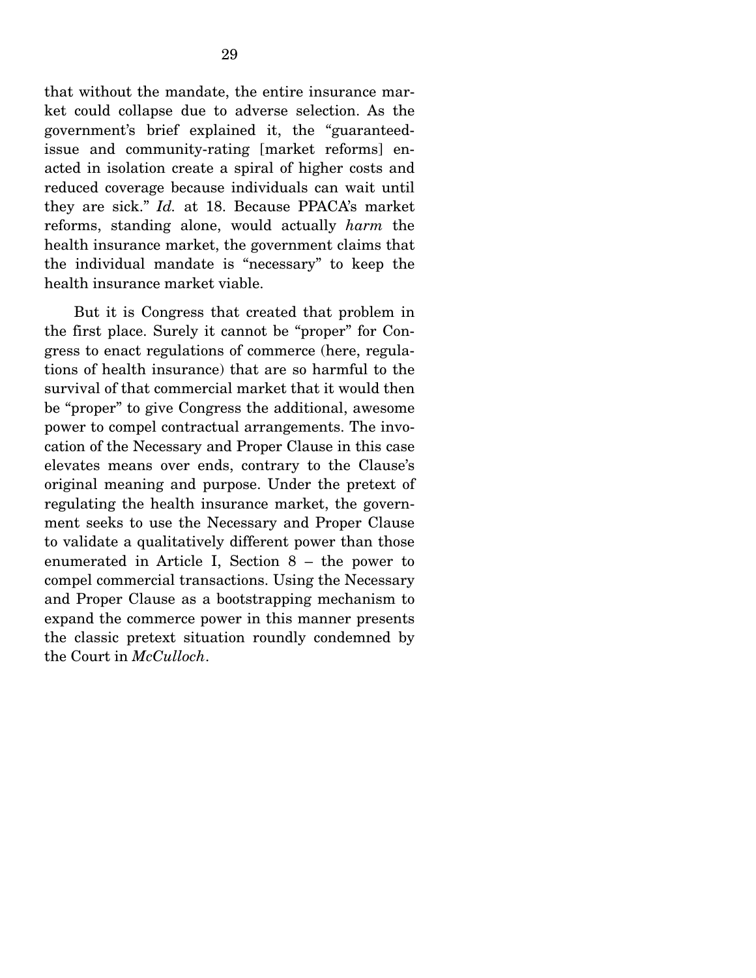that without the mandate, the entire insurance market could collapse due to adverse selection. As the government's brief explained it, the "guaranteedissue and community-rating [market reforms] enacted in isolation create a spiral of higher costs and reduced coverage because individuals can wait until they are sick." *Id.* at 18. Because PPACA's market reforms, standing alone, would actually *harm* the health insurance market, the government claims that the individual mandate is "necessary" to keep the health insurance market viable.

 But it is Congress that created that problem in the first place. Surely it cannot be "proper" for Congress to enact regulations of commerce (here, regulations of health insurance) that are so harmful to the survival of that commercial market that it would then be "proper" to give Congress the additional, awesome power to compel contractual arrangements. The invocation of the Necessary and Proper Clause in this case elevates means over ends, contrary to the Clause's original meaning and purpose. Under the pretext of regulating the health insurance market, the government seeks to use the Necessary and Proper Clause to validate a qualitatively different power than those enumerated in Article I, Section 8 – the power to compel commercial transactions. Using the Necessary and Proper Clause as a bootstrapping mechanism to expand the commerce power in this manner presents the classic pretext situation roundly condemned by the Court in *McCulloch*.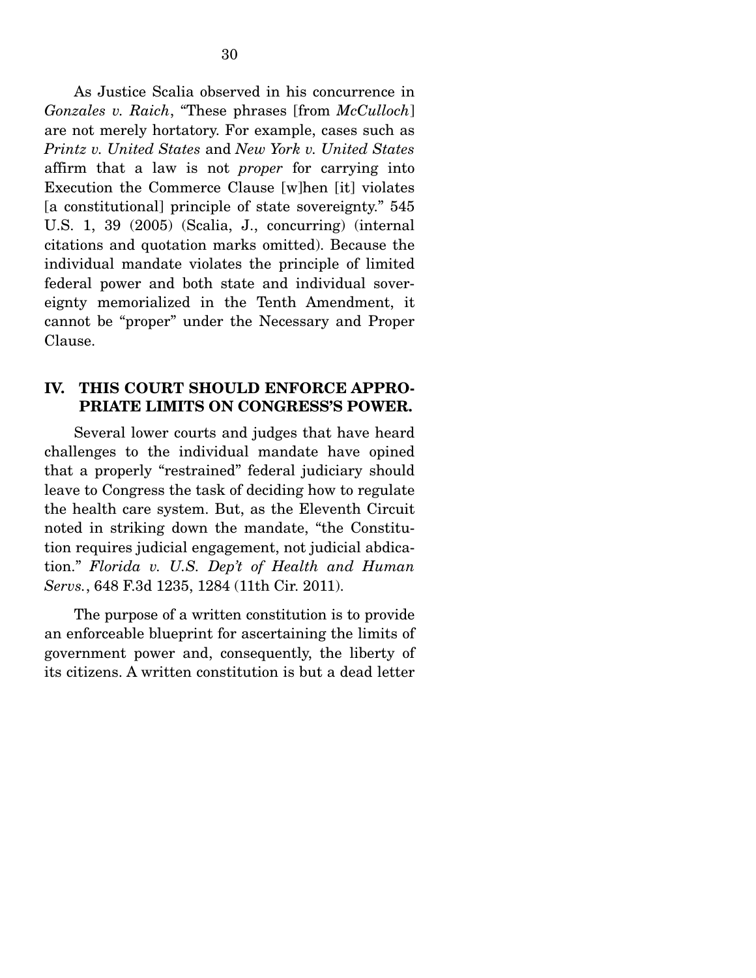As Justice Scalia observed in his concurrence in *Gonzales v. Raich*, "These phrases [from *McCulloch*] are not merely hortatory. For example, cases such as *Printz v. United States* and *New York v. United States* affirm that a law is not *proper* for carrying into Execution the Commerce Clause [w]hen [it] violates [a constitutional] principle of state sovereignty." 545 U.S. 1, 39 (2005) (Scalia, J., concurring) (internal citations and quotation marks omitted). Because the individual mandate violates the principle of limited federal power and both state and individual sovereignty memorialized in the Tenth Amendment, it cannot be "proper" under the Necessary and Proper Clause.

#### **IV. THIS COURT SHOULD ENFORCE APPRO-PRIATE LIMITS ON CONGRESS'S POWER.**

 Several lower courts and judges that have heard challenges to the individual mandate have opined that a properly "restrained" federal judiciary should leave to Congress the task of deciding how to regulate the health care system. But, as the Eleventh Circuit noted in striking down the mandate, "the Constitution requires judicial engagement, not judicial abdication." *Florida v. U.S. Dep't of Health and Human Servs.*, 648 F.3d 1235, 1284 (11th Cir. 2011).

 The purpose of a written constitution is to provide an enforceable blueprint for ascertaining the limits of government power and, consequently, the liberty of its citizens. A written constitution is but a dead letter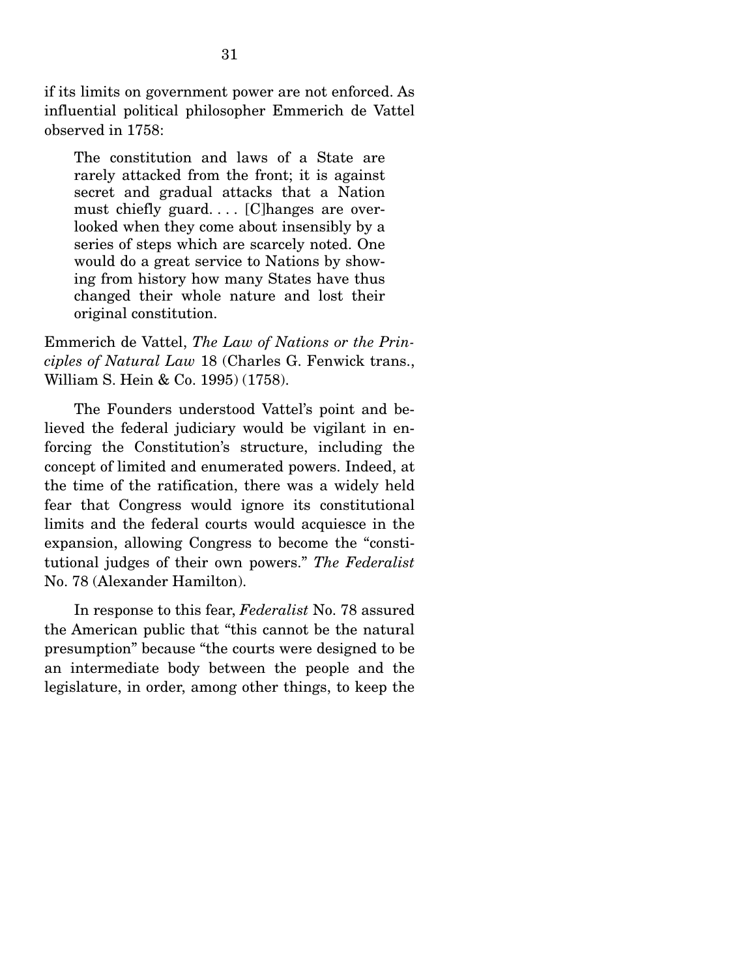if its limits on government power are not enforced. As influential political philosopher Emmerich de Vattel observed in 1758:

The constitution and laws of a State are rarely attacked from the front; it is against secret and gradual attacks that a Nation must chiefly guard.... [C] hanges are overlooked when they come about insensibly by a series of steps which are scarcely noted. One would do a great service to Nations by showing from history how many States have thus changed their whole nature and lost their original constitution.

Emmerich de Vattel, *The Law of Nations or the Principles of Natural Law* 18 (Charles G. Fenwick trans., William S. Hein & Co. 1995) (1758).

 The Founders understood Vattel's point and believed the federal judiciary would be vigilant in enforcing the Constitution's structure, including the concept of limited and enumerated powers. Indeed, at the time of the ratification, there was a widely held fear that Congress would ignore its constitutional limits and the federal courts would acquiesce in the expansion, allowing Congress to become the "constitutional judges of their own powers." *The Federalist*  No. 78 (Alexander Hamilton).

 In response to this fear, *Federalist* No. 78 assured the American public that "this cannot be the natural presumption" because "the courts were designed to be an intermediate body between the people and the legislature, in order, among other things, to keep the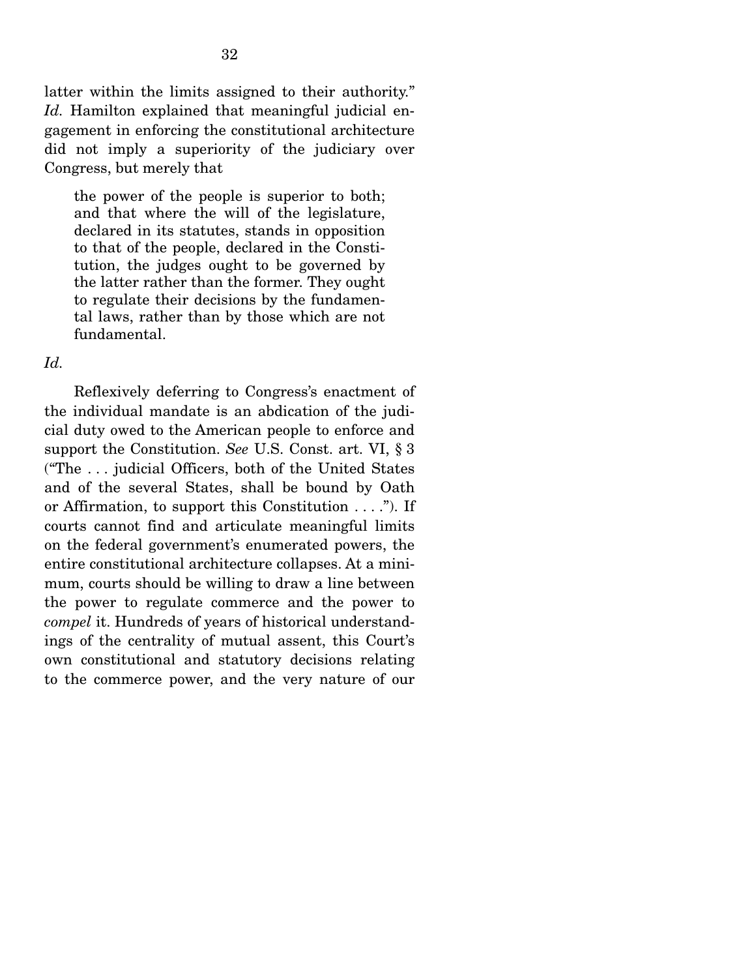latter within the limits assigned to their authority." Id. Hamilton explained that meaningful judicial engagement in enforcing the constitutional architecture did not imply a superiority of the judiciary over Congress, but merely that

the power of the people is superior to both; and that where the will of the legislature, declared in its statutes, stands in opposition to that of the people, declared in the Constitution, the judges ought to be governed by the latter rather than the former. They ought to regulate their decisions by the fundamental laws, rather than by those which are not fundamental.

#### *Id.*

 Reflexively deferring to Congress's enactment of the individual mandate is an abdication of the judicial duty owed to the American people to enforce and support the Constitution. *See* U.S. Const. art. VI, § 3 ("The . . . judicial Officers, both of the United States and of the several States, shall be bound by Oath or Affirmation, to support this Constitution . . . ."). If courts cannot find and articulate meaningful limits on the federal government's enumerated powers, the entire constitutional architecture collapses. At a minimum, courts should be willing to draw a line between the power to regulate commerce and the power to *compel* it. Hundreds of years of historical understandings of the centrality of mutual assent, this Court's own constitutional and statutory decisions relating to the commerce power, and the very nature of our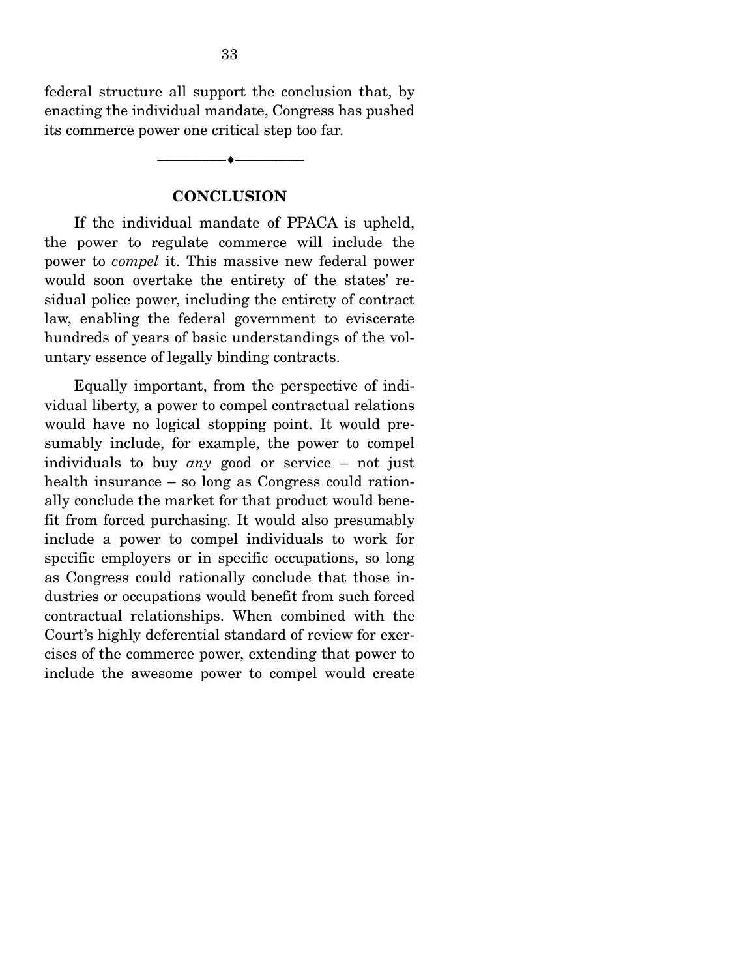federal structure all support the conclusion that, by enacting the individual mandate, Congress has pushed its commerce power one critical step too far.

#### **CONCLUSION**

 $\overbrace{\hspace{2.5cm}}$   $\overbrace{\hspace{2.5cm}}$   $\overbrace{\hspace{2.5cm}}$ 

 If the individual mandate of PPACA is upheld, the power to regulate commerce will include the power to *compel* it. This massive new federal power would soon overtake the entirety of the states' residual police power, including the entirety of contract law, enabling the federal government to eviscerate hundreds of years of basic understandings of the voluntary essence of legally binding contracts.

 Equally important, from the perspective of individual liberty, a power to compel contractual relations would have no logical stopping point. It would presumably include, for example, the power to compel individuals to buy *any* good or service – not just health insurance – so long as Congress could rationally conclude the market for that product would benefit from forced purchasing. It would also presumably include a power to compel individuals to work for specific employers or in specific occupations, so long as Congress could rationally conclude that those industries or occupations would benefit from such forced contractual relationships. When combined with the Court's highly deferential standard of review for exercises of the commerce power, extending that power to include the awesome power to compel would create